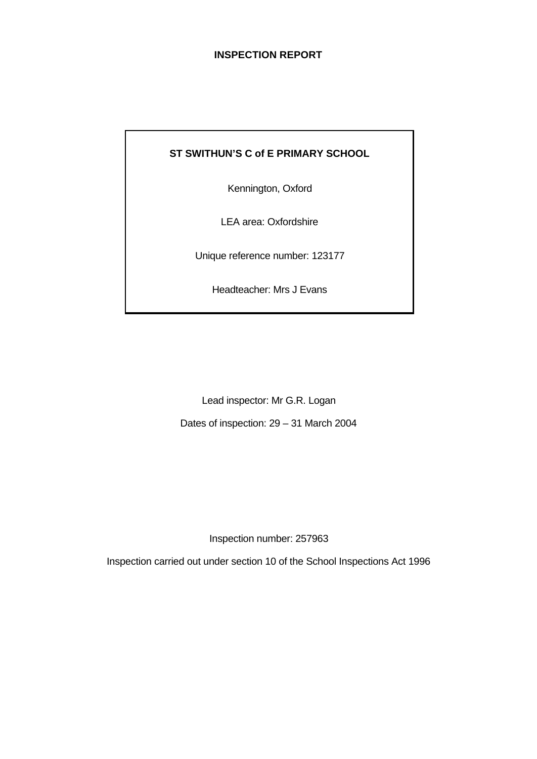# **INSPECTION REPORT**

# **ST SWITHUN'S C of E PRIMARY SCHOOL**

Kennington, Oxford

LEA area: Oxfordshire

Unique reference number: 123177

Headteacher: Mrs J Evans

Lead inspector: Mr G.R. Logan

Dates of inspection: 29 – 31 March 2004

Inspection number: 257963

Inspection carried out under section 10 of the School Inspections Act 1996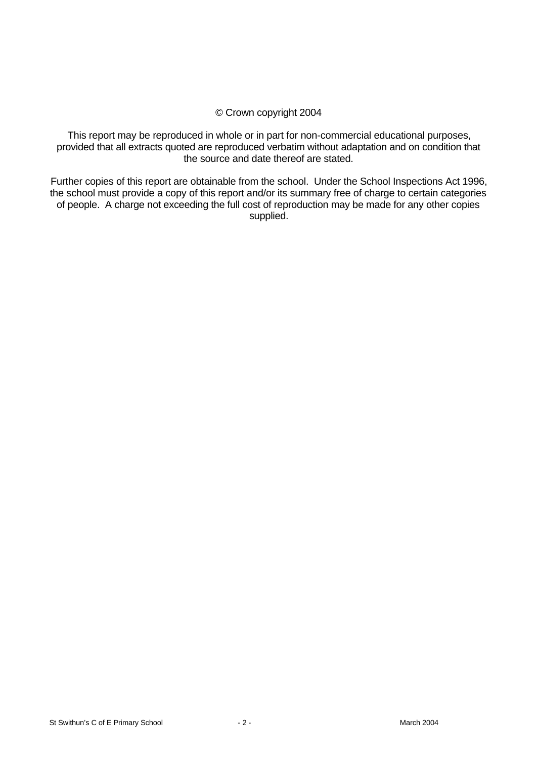# © Crown copyright 2004

This report may be reproduced in whole or in part for non-commercial educational purposes, provided that all extracts quoted are reproduced verbatim without adaptation and on condition that the source and date thereof are stated.

Further copies of this report are obtainable from the school. Under the School Inspections Act 1996, the school must provide a copy of this report and/or its summary free of charge to certain categories of people. A charge not exceeding the full cost of reproduction may be made for any other copies supplied.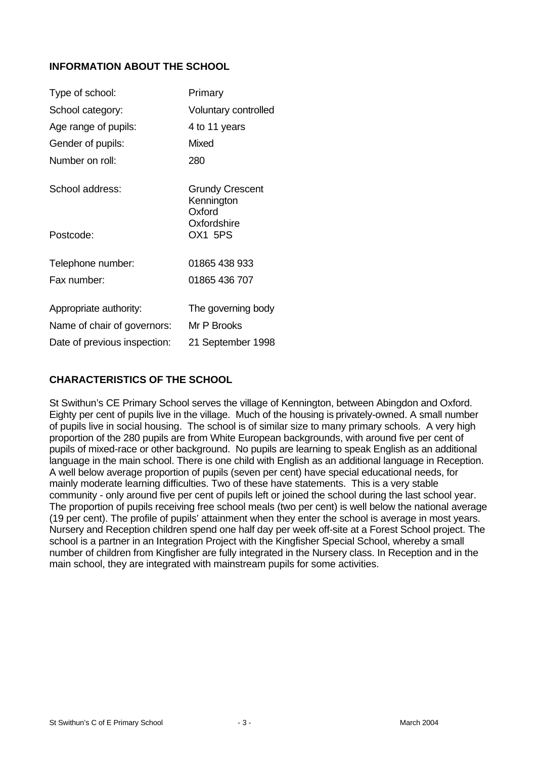# **INFORMATION ABOUT THE SCHOOL**

| Type of school:              | Primary                                        |
|------------------------------|------------------------------------------------|
| School category:             | Voluntary controlled                           |
| Age range of pupils:         | 4 to 11 years                                  |
| Gender of pupils:            | <b>Mixed</b>                                   |
| Number on roll:              | 280                                            |
| School address:              | <b>Grundy Crescent</b><br>Kennington<br>Oxford |
| Postcode:                    | Oxfordshire<br>OX1 5PS                         |
| Telephone number:            | 01865 438 933                                  |
| Fax number:                  | 01865 436 707                                  |
| Appropriate authority:       | The governing body                             |
| Name of chair of governors:  | Mr P Brooks                                    |
| Date of previous inspection: | 21 September 1998                              |

# **CHARACTERISTICS OF THE SCHOOL**

St Swithun's CE Primary School serves the village of Kennington, between Abingdon and Oxford. Eighty per cent of pupils live in the village. Much of the housing is privately-owned. A small number of pupils live in social housing. The school is of similar size to many primary schools. A very high proportion of the 280 pupils are from White European backgrounds, with around five per cent of pupils of mixed-race or other background. No pupils are learning to speak English as an additional language in the main school. There is one child with English as an additional language in Reception. A well below average proportion of pupils (seven per cent) have special educational needs, for mainly moderate learning difficulties. Two of these have statements. This is a very stable community - only around five per cent of pupils left or joined the school during the last school year. The proportion of pupils receiving free school meals (two per cent) is well below the national average (19 per cent). The profile of pupils' attainment when they enter the school is average in most years. Nursery and Reception children spend one half day per week off-site at a Forest School project. The school is a partner in an Integration Project with the Kingfisher Special School, whereby a small number of children from Kingfisher are fully integrated in the Nursery class. In Reception and in the main school, they are integrated with mainstream pupils for some activities.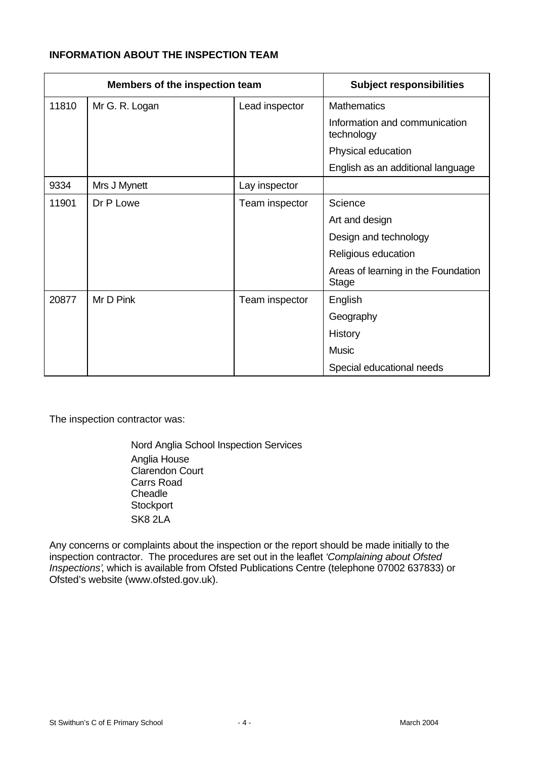# **INFORMATION ABOUT THE INSPECTION TEAM**

|       | Members of the inspection team | <b>Subject responsibilities</b> |                                                     |
|-------|--------------------------------|---------------------------------|-----------------------------------------------------|
| 11810 | Mr G. R. Logan                 | Lead inspector                  | <b>Mathematics</b>                                  |
|       |                                |                                 | Information and communication<br>technology         |
|       |                                |                                 | Physical education                                  |
|       |                                |                                 | English as an additional language                   |
| 9334  | Mrs J Mynett                   | Lay inspector                   |                                                     |
| 11901 | Dr P Lowe                      | Team inspector                  | Science                                             |
|       |                                |                                 | Art and design                                      |
|       |                                |                                 | Design and technology                               |
|       |                                |                                 | Religious education                                 |
|       |                                |                                 | Areas of learning in the Foundation<br><b>Stage</b> |
| 20877 | Mr D Pink                      | Team inspector                  | English                                             |
|       |                                |                                 | Geography                                           |
|       |                                |                                 | History                                             |
|       |                                |                                 | <b>Music</b>                                        |
|       |                                |                                 | Special educational needs                           |

The inspection contractor was:

Nord Anglia School Inspection Services Anglia House Clarendon Court Carrs Road **Cheadle Stockport** SK8 2LA

Any concerns or complaints about the inspection or the report should be made initially to the inspection contractor. The procedures are set out in the leaflet *'Complaining about Ofsted Inspections'*, which is available from Ofsted Publications Centre (telephone 07002 637833) or Ofsted's website (www.ofsted.gov.uk).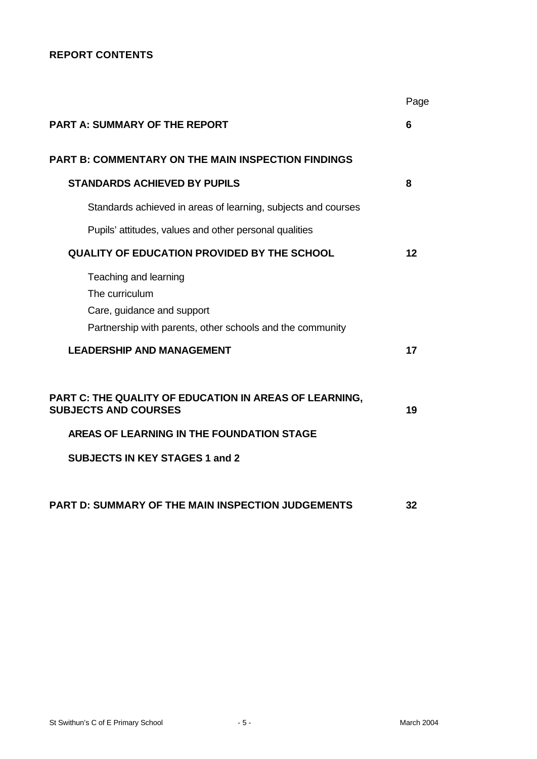# **REPORT CONTENTS**

|                                                                                                                                    | Page |
|------------------------------------------------------------------------------------------------------------------------------------|------|
| <b>PART A: SUMMARY OF THE REPORT</b>                                                                                               | 6    |
| <b>PART B: COMMENTARY ON THE MAIN INSPECTION FINDINGS</b>                                                                          |      |
| <b>STANDARDS ACHIEVED BY PUPILS</b>                                                                                                | 8    |
| Standards achieved in areas of learning, subjects and courses                                                                      |      |
| Pupils' attitudes, values and other personal qualities                                                                             |      |
| QUALITY OF EDUCATION PROVIDED BY THE SCHOOL                                                                                        | 12   |
| Teaching and learning<br>The curriculum<br>Care, guidance and support<br>Partnership with parents, other schools and the community |      |
| <b>LEADERSHIP AND MANAGEMENT</b>                                                                                                   | 17   |
| PART C: THE QUALITY OF EDUCATION IN AREAS OF LEARNING,<br><b>SUBJECTS AND COURSES</b>                                              | 19   |
| AREAS OF LEARNING IN THE FOUNDATION STAGE                                                                                          |      |
| <b>SUBJECTS IN KEY STAGES 1 and 2</b>                                                                                              |      |
| PART D: SUMMARY OF THE MAIN INSPECTION JUDGEMENTS                                                                                  | 32   |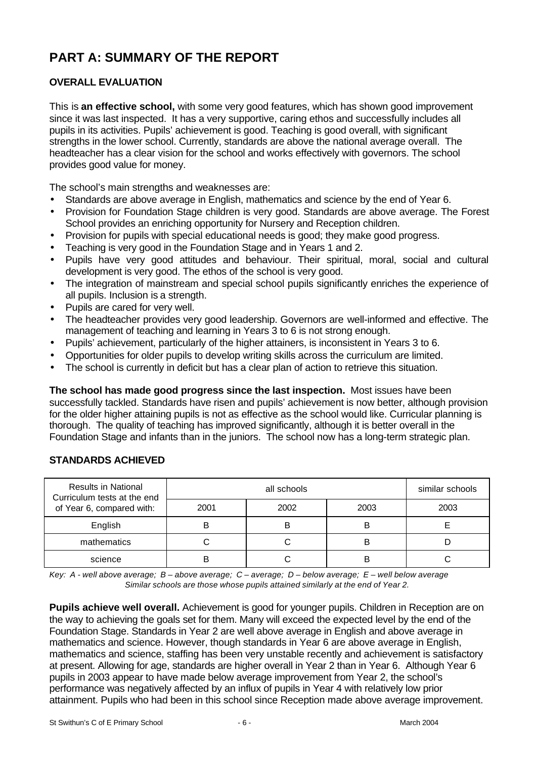# **PART A: SUMMARY OF THE REPORT**

# **OVERALL EVALUATION**

This is **an effective school,** with some very good features, which has shown good improvement since it was last inspected. It has a very supportive, caring ethos and successfully includes all pupils in its activities. Pupils' achievement is good. Teaching is good overall, with significant strengths in the lower school. Currently, standards are above the national average overall. The headteacher has a clear vision for the school and works effectively with governors. The school provides good value for money.

The school's main strengths and weaknesses are:

- Standards are above average in English, mathematics and science by the end of Year 6.
- Provision for Foundation Stage children is very good. Standards are above average. The Forest School provides an enriching opportunity for Nursery and Reception children.
- Provision for pupils with special educational needs is good; they make good progress.
- Teaching is very good in the Foundation Stage and in Years 1 and 2.
- Pupils have very good attitudes and behaviour. Their spiritual, moral, social and cultural development is very good. The ethos of the school is very good.
- The integration of mainstream and special school pupils significantly enriches the experience of all pupils. Inclusion is a strength.
- Pupils are cared for very well.
- The headteacher provides very good leadership. Governors are well-informed and effective. The management of teaching and learning in Years 3 to 6 is not strong enough.
- Pupils' achievement, particularly of the higher attainers, is inconsistent in Years 3 to 6.
- Opportunities for older pupils to develop writing skills across the curriculum are limited.
- The school is currently in deficit but has a clear plan of action to retrieve this situation.

**The school has made good progress since the last inspection.** Most issues have been successfully tackled. Standards have risen and pupils' achievement is now better, although provision for the older higher attaining pupils is not as effective as the school would like. Curricular planning is thorough. The quality of teaching has improved significantly, although it is better overall in the Foundation Stage and infants than in the juniors. The school now has a long-term strategic plan.

| <b>Results in National</b><br>Curriculum tests at the end |      | similar schools |      |      |
|-----------------------------------------------------------|------|-----------------|------|------|
| of Year 6, compared with:                                 | 2001 | 2002            | 2003 | 2003 |
| English                                                   |      | B               | B    |      |
| mathematics                                               |      |                 |      |      |
| science                                                   |      |                 | B    |      |

# **STANDARDS ACHIEVED**

*Key: A - well above average; B – above average; C – average; D – below average; E – well below average Similar schools are those whose pupils attained similarly at the end of Year 2.*

**Pupils achieve well overall.** Achievement is good for younger pupils. Children in Reception are on the way to achieving the goals set for them. Many will exceed the expected level by the end of the Foundation Stage. Standards in Year 2 are well above average in English and above average in mathematics and science. However, though standards in Year 6 are above average in English, mathematics and science, staffing has been very unstable recently and achievement is satisfactory at present. Allowing for age, standards are higher overall in Year 2 than in Year 6. Although Year 6 pupils in 2003 appear to have made below average improvement from Year 2, the school's performance was negatively affected by an influx of pupils in Year 4 with relatively low prior attainment. Pupils who had been in this school since Reception made above average improvement.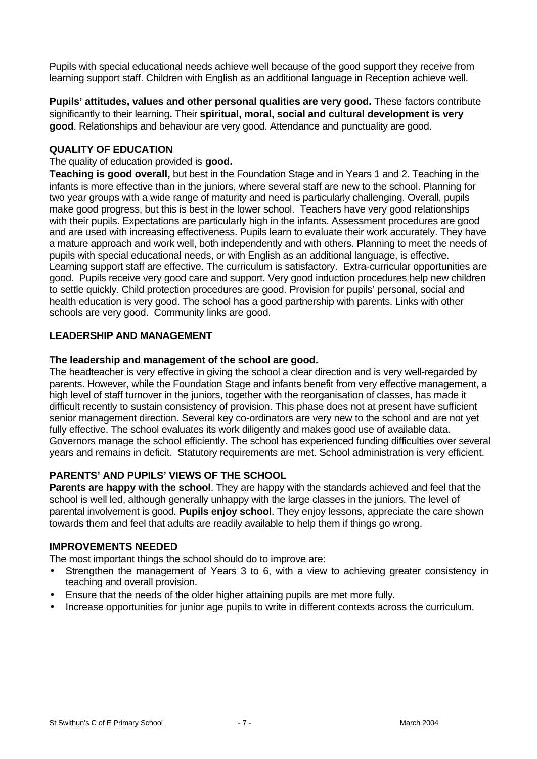Pupils with special educational needs achieve well because of the good support they receive from learning support staff. Children with English as an additional language in Reception achieve well.

**Pupils' attitudes, values and other personal qualities are very good.** These factors contribute significantly to their learning**.** Their **spiritual, moral, social and cultural development is very good**. Relationships and behaviour are very good. Attendance and punctuality are good.

#### **QUALITY OF EDUCATION**

#### The quality of education provided is **good.**

**Teaching is good overall,** but best in the Foundation Stage and in Years 1 and 2. Teaching in the infants is more effective than in the juniors, where several staff are new to the school. Planning for two year groups with a wide range of maturity and need is particularly challenging. Overall, pupils make good progress, but this is best in the lower school. Teachers have very good relationships with their pupils. Expectations are particularly high in the infants. Assessment procedures are good and are used with increasing effectiveness. Pupils learn to evaluate their work accurately. They have a mature approach and work well, both independently and with others. Planning to meet the needs of pupils with special educational needs, or with English as an additional language, is effective. Learning support staff are effective. The curriculum is satisfactory. Extra-curricular opportunities are good. Pupils receive very good care and support. Very good induction procedures help new children to settle quickly. Child protection procedures are good. Provision for pupils' personal, social and health education is very good. The school has a good partnership with parents. Links with other schools are very good. Community links are good.

#### **LEADERSHIP AND MANAGEMENT**

#### **The leadership and management of the school are good.**

The headteacher is very effective in giving the school a clear direction and is very well-regarded by parents. However, while the Foundation Stage and infants benefit from very effective management, a high level of staff turnover in the juniors, together with the reorganisation of classes, has made it difficult recently to sustain consistency of provision. This phase does not at present have sufficient senior management direction. Several key co-ordinators are very new to the school and are not yet fully effective. The school evaluates its work diligently and makes good use of available data. Governors manage the school efficiently. The school has experienced funding difficulties over several years and remains in deficit. Statutory requirements are met. School administration is very efficient.

#### **PARENTS' AND PUPILS' VIEWS OF THE SCHOOL**

**Parents are happy with the school**. They are happy with the standards achieved and feel that the school is well led, although generally unhappy with the large classes in the juniors. The level of parental involvement is good. **Pupils enjoy school**. They enjoy lessons, appreciate the care shown towards them and feel that adults are readily available to help them if things go wrong.

#### **IMPROVEMENTS NEEDED**

The most important things the school should do to improve are:

- Strengthen the management of Years 3 to 6, with a view to achieving greater consistency in teaching and overall provision.
- Ensure that the needs of the older higher attaining pupils are met more fully.
- Increase opportunities for junior age pupils to write in different contexts across the curriculum.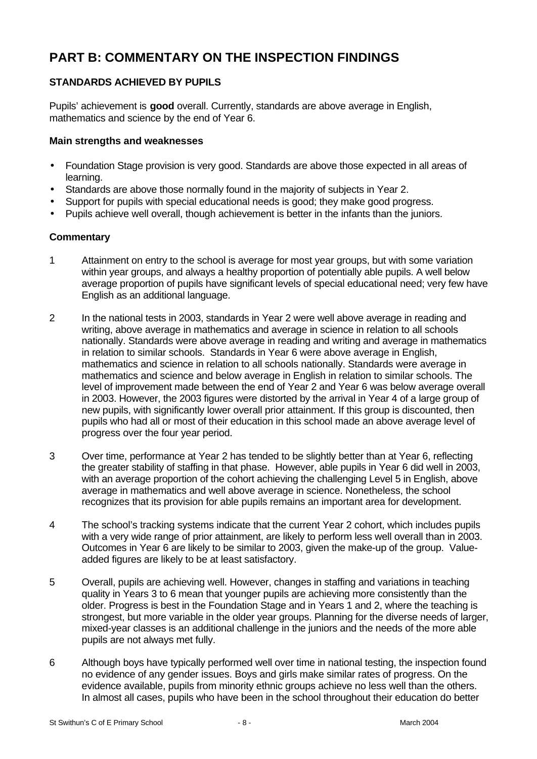# **PART B: COMMENTARY ON THE INSPECTION FINDINGS**

# **STANDARDS ACHIEVED BY PUPILS**

Pupils' achievement is **good** overall. Currently, standards are above average in English, mathematics and science by the end of Year 6.

#### **Main strengths and weaknesses**

- Foundation Stage provision is very good. Standards are above those expected in all areas of learning.
- Standards are above those normally found in the majority of subjects in Year 2.
- Support for pupils with special educational needs is good; they make good progress.
- Pupils achieve well overall, though achievement is better in the infants than the juniors.

- 1 Attainment on entry to the school is average for most year groups, but with some variation within year groups, and always a healthy proportion of potentially able pupils. A well below average proportion of pupils have significant levels of special educational need; very few have English as an additional language.
- 2 In the national tests in 2003, standards in Year 2 were well above average in reading and writing, above average in mathematics and average in science in relation to all schools nationally. Standards were above average in reading and writing and average in mathematics in relation to similar schools. Standards in Year 6 were above average in English, mathematics and science in relation to all schools nationally. Standards were average in mathematics and science and below average in English in relation to similar schools. The level of improvement made between the end of Year 2 and Year 6 was below average overall in 2003. However, the 2003 figures were distorted by the arrival in Year 4 of a large group of new pupils, with significantly lower overall prior attainment. If this group is discounted, then pupils who had all or most of their education in this school made an above average level of progress over the four year period.
- 3 Over time, performance at Year 2 has tended to be slightly better than at Year 6, reflecting the greater stability of staffing in that phase. However, able pupils in Year 6 did well in 2003, with an average proportion of the cohort achieving the challenging Level 5 in English, above average in mathematics and well above average in science. Nonetheless, the school recognizes that its provision for able pupils remains an important area for development.
- 4 The school's tracking systems indicate that the current Year 2 cohort, which includes pupils with a very wide range of prior attainment, are likely to perform less well overall than in 2003. Outcomes in Year 6 are likely to be similar to 2003, given the make-up of the group. Valueadded figures are likely to be at least satisfactory.
- 5 Overall, pupils are achieving well. However, changes in staffing and variations in teaching quality in Years 3 to 6 mean that younger pupils are achieving more consistently than the older. Progress is best in the Foundation Stage and in Years 1 and 2, where the teaching is strongest, but more variable in the older year groups. Planning for the diverse needs of larger, mixed-year classes is an additional challenge in the juniors and the needs of the more able pupils are not always met fully.
- 6 Although boys have typically performed well over time in national testing, the inspection found no evidence of any gender issues. Boys and girls make similar rates of progress. On the evidence available, pupils from minority ethnic groups achieve no less well than the others. In almost all cases, pupils who have been in the school throughout their education do better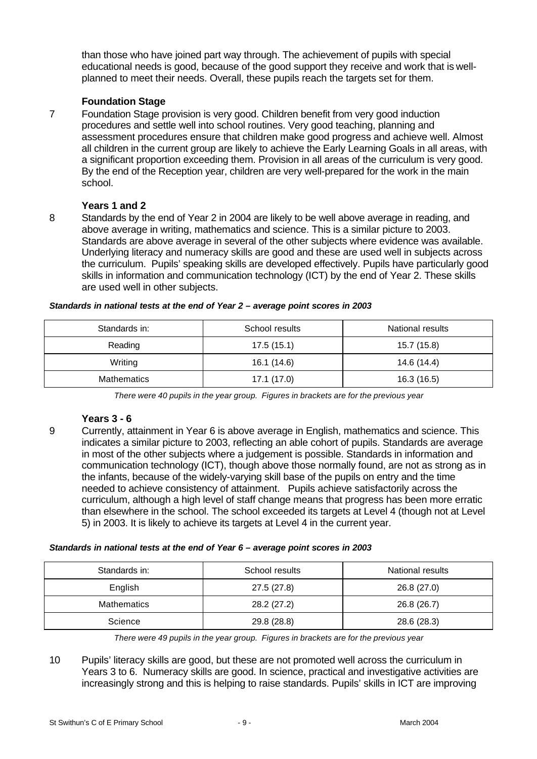than those who have joined part way through. The achievement of pupils with special educational needs is good, because of the good support they receive and work that is wellplanned to meet their needs. Overall, these pupils reach the targets set for them.

# **Foundation Stage**

7 Foundation Stage provision is very good. Children benefit from very good induction procedures and settle well into school routines. Very good teaching, planning and assessment procedures ensure that children make good progress and achieve well. Almost all children in the current group are likely to achieve the Early Learning Goals in all areas, with a significant proportion exceeding them. Provision in all areas of the curriculum is very good. By the end of the Reception year, children are very well-prepared for the work in the main school.

# **Years 1 and 2**

8 Standards by the end of Year 2 in 2004 are likely to be well above average in reading, and above average in writing, mathematics and science. This is a similar picture to 2003. Standards are above average in several of the other subjects where evidence was available. Underlying literacy and numeracy skills are good and these are used well in subjects across the curriculum. Pupils' speaking skills are developed effectively. Pupils have particularly good skills in information and communication technology (ICT) by the end of Year 2. These skills are used well in other subjects.

| Standards in:      | School results | National results |
|--------------------|----------------|------------------|
| Reading            | 17.5(15.1)     | 15.7 (15.8)      |
| Writing            | 16.1 (14.6)    | 14.6 (14.4)      |
| <b>Mathematics</b> | 17.1(17.0)     | 16.3 (16.5)      |

*Standards in national tests at the end of Year 2 – average point scores in 2003*

*There were 40 pupils in the year group. Figures in brackets are for the previous year*

#### **Years 3 - 6**

9 Currently, attainment in Year 6 is above average in English, mathematics and science. This indicates a similar picture to 2003, reflecting an able cohort of pupils. Standards are average in most of the other subjects where a judgement is possible. Standards in information and communication technology (ICT), though above those normally found, are not as strong as in the infants, because of the widely-varying skill base of the pupils on entry and the time needed to achieve consistency of attainment. Pupils achieve satisfactorily across the curriculum, although a high level of staff change means that progress has been more erratic than elsewhere in the school. The school exceeded its targets at Level 4 (though not at Level 5) in 2003. It is likely to achieve its targets at Level 4 in the current year.

#### *Standards in national tests at the end of Year 6 – average point scores in 2003*

| Standards in:      | School results | National results |
|--------------------|----------------|------------------|
| English            | 27.5 (27.8)    | 26.8 (27.0)      |
| <b>Mathematics</b> | 28.2 (27.2)    | 26.8 (26.7)      |
| Science            | 29.8 (28.8)    | 28.6 (28.3)      |

*There were 49 pupils in the year group. Figures in brackets are for the previous year*

10 Pupils' literacy skills are good, but these are not promoted well across the curriculum in Years 3 to 6. Numeracy skills are good. In science, practical and investigative activities are increasingly strong and this is helping to raise standards. Pupils' skills in ICT are improving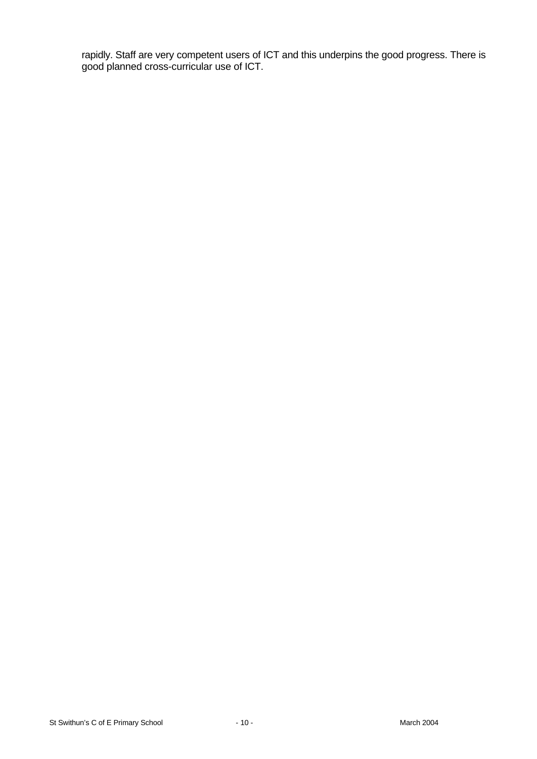rapidly. Staff are very competent users of ICT and this underpins the good progress. There is good planned cross-curricular use of ICT.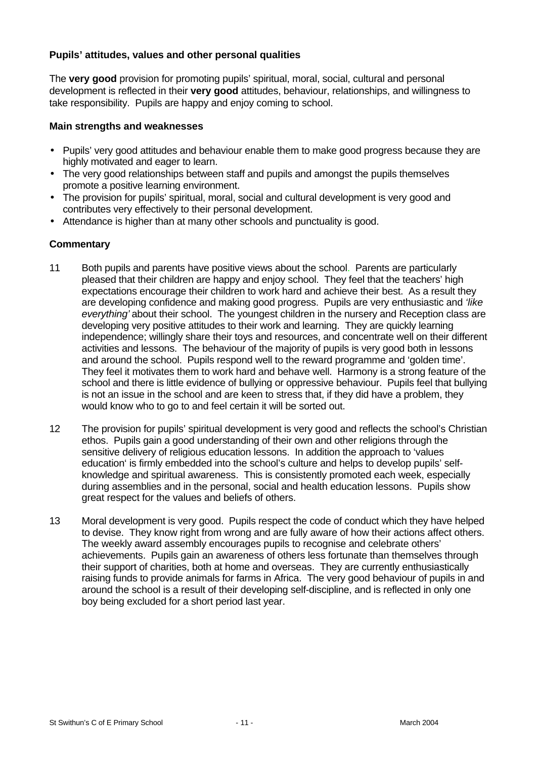# **Pupils' attitudes, values and other personal qualities**

The **very good** provision for promoting pupils' spiritual, moral, social, cultural and personal development is reflected in their **very good** attitudes, behaviour, relationships, and willingness to take responsibility. Pupils are happy and enjoy coming to school.

#### **Main strengths and weaknesses**

- Pupils' very good attitudes and behaviour enable them to make good progress because they are highly motivated and eager to learn.
- The very good relationships between staff and pupils and amongst the pupils themselves promote a positive learning environment.
- The provision for pupils' spiritual, moral, social and cultural development is very good and contributes very effectively to their personal development.
- Attendance is higher than at many other schools and punctuality is good.

- 11 Both pupils and parents have positive views about the school. Parents are particularly pleased that their children are happy and enjoy school. They feel that the teachers' high expectations encourage their children to work hard and achieve their best. As a result they are developing confidence and making good progress. Pupils are very enthusiastic and *'like everything'* about their school. The youngest children in the nursery and Reception class are developing very positive attitudes to their work and learning. They are quickly learning independence; willingly share their toys and resources, and concentrate well on their different activities and lessons. The behaviour of the majority of pupils is very good both in lessons and around the school. Pupils respond well to the reward programme and 'golden time'. They feel it motivates them to work hard and behave well. Harmony is a strong feature of the school and there is little evidence of bullying or oppressive behaviour. Pupils feel that bullying is not an issue in the school and are keen to stress that, if they did have a problem, they would know who to go to and feel certain it will be sorted out.
- 12 The provision for pupils' spiritual development is very good and reflects the school's Christian ethos. Pupils gain a good understanding of their own and other religions through the sensitive delivery of religious education lessons. In addition the approach to 'values education' is firmly embedded into the school's culture and helps to develop pupils' selfknowledge and spiritual awareness. This is consistently promoted each week, especially during assemblies and in the personal, social and health education lessons. Pupils show great respect for the values and beliefs of others.
- 13 Moral development is very good. Pupils respect the code of conduct which they have helped to devise. They know right from wrong and are fully aware of how their actions affect others. The weekly award assembly encourages pupils to recognise and celebrate others' achievements. Pupils gain an awareness of others less fortunate than themselves through their support of charities, both at home and overseas. They are currently enthusiastically raising funds to provide animals for farms in Africa. The very good behaviour of pupils in and around the school is a result of their developing self-discipline, and is reflected in only one boy being excluded for a short period last year.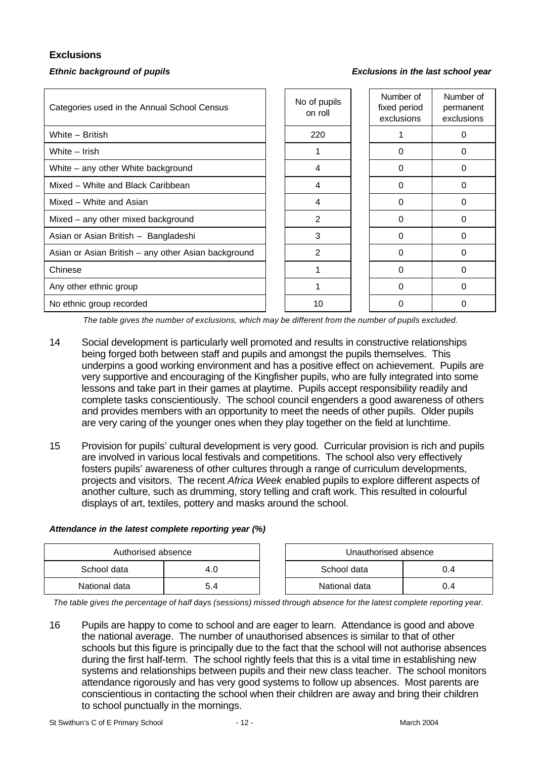# **Exclusions**

#### *Ethnic background of pupils Exclusions in the last school year*

| Categories used in the Annual School Census         | No of pupils<br>on roll | Number of<br>fixed period<br>exclusions | Number of<br>permanent<br>exclusions |
|-----------------------------------------------------|-------------------------|-----------------------------------------|--------------------------------------|
| White - British                                     | 220                     |                                         | 0                                    |
| White - Irish                                       |                         | 0                                       | 0                                    |
| White - any other White background                  | 4                       | 0                                       | 0                                    |
| Mixed – White and Black Caribbean                   | 4                       | $\Omega$                                | $\Omega$                             |
| Mixed - White and Asian                             | 4                       | $\Omega$                                | $\Omega$                             |
| Mixed – any other mixed background                  | 2                       | 0                                       | 0                                    |
| Asian or Asian British - Bangladeshi                | 3                       | 0                                       | 0                                    |
| Asian or Asian British - any other Asian background | 2                       | 0                                       | 0                                    |
| Chinese                                             |                         | $\Omega$                                | $\Omega$                             |
| Any other ethnic group                              |                         | $\Omega$                                | $\Omega$                             |
| No ethnic group recorded                            | 10                      | 0                                       | 0                                    |

*The table gives the number of exclusions, which may be different from the number of pupils excluded.*

- 14 Social development is particularly well promoted and results in constructive relationships being forged both between staff and pupils and amongst the pupils themselves. This underpins a good working environment and has a positive effect on achievement. Pupils are very supportive and encouraging of the Kingfisher pupils, who are fully integrated into some lessons and take part in their games at playtime. Pupils accept responsibility readily and complete tasks conscientiously. The school council engenders a good awareness of others and provides members with an opportunity to meet the needs of other pupils. Older pupils are very caring of the younger ones when they play together on the field at lunchtime.
- 15 Provision for pupils' cultural development is very good. Curricular provision is rich and pupils are involved in various local festivals and competitions. The school also very effectively fosters pupils' awareness of other cultures through a range of curriculum developments, projects and visitors. The recent *Africa Week* enabled pupils to explore different aspects of another culture, such as drumming, story telling and craft work. This resulted in colourful displays of art, textiles, pottery and masks around the school.

#### *Attendance in the latest complete reporting year (%)*

| Authorised absence |     |  | Unauthorised absence |    |  |  |
|--------------------|-----|--|----------------------|----|--|--|
| School data        | 4.U |  | School data<br>J.4   |    |  |  |
| National data      | 5.4 |  | National data        | 14 |  |  |

*The table gives the percentage of half days (sessions) missed through absence for the latest complete reporting year.*

16 Pupils are happy to come to school and are eager to learn. Attendance is good and above the national average. The number of unauthorised absences is similar to that of other schools but this figure is principally due to the fact that the school will not authorise absences during the first half-term. The school rightly feels that this is a vital time in establishing new systems and relationships between pupils and their new class teacher. The school monitors attendance rigorously and has very good systems to follow up absences. Most parents are conscientious in contacting the school when their children are away and bring their children to school punctually in the mornings.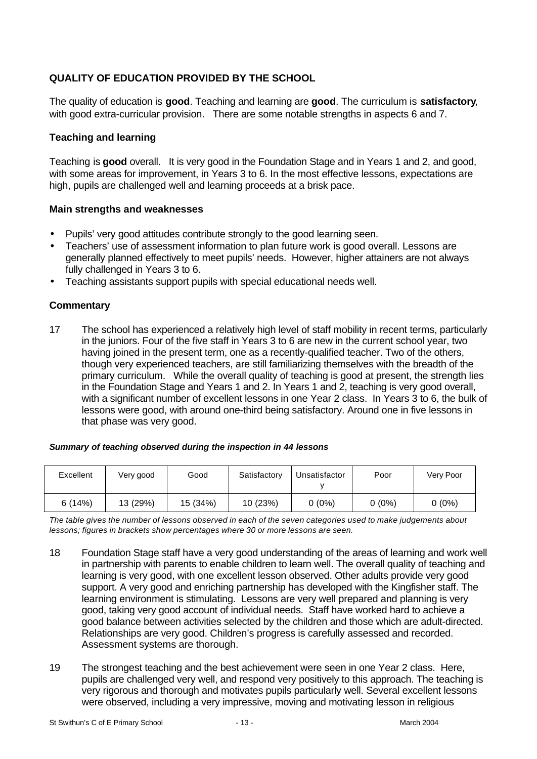# **QUALITY OF EDUCATION PROVIDED BY THE SCHOOL**

The quality of education is **good**. Teaching and learning are **good**. The curriculum is **satisfactory**, with good extra-curricular provision. There are some notable strengths in aspects 6 and 7.

# **Teaching and learning**

Teaching is **good** overall. It is very good in the Foundation Stage and in Years 1 and 2, and good, with some areas for improvement, in Years 3 to 6. In the most effective lessons, expectations are high, pupils are challenged well and learning proceeds at a brisk pace.

#### **Main strengths and weaknesses**

- Pupils' very good attitudes contribute strongly to the good learning seen.
- Teachers' use of assessment information to plan future work is good overall. Lessons are generally planned effectively to meet pupils' needs. However, higher attainers are not always fully challenged in Years 3 to 6.
- Teaching assistants support pupils with special educational needs well.

# **Commentary**

17 The school has experienced a relatively high level of staff mobility in recent terms, particularly in the juniors. Four of the five staff in Years 3 to 6 are new in the current school year, two having joined in the present term, one as a recently-qualified teacher. Two of the others, though very experienced teachers, are still familiarizing themselves with the breadth of the primary curriculum. While the overall quality of teaching is good at present, the strength lies in the Foundation Stage and Years 1 and 2. In Years 1 and 2, teaching is very good overall, with a significant number of excellent lessons in one Year 2 class. In Years 3 to 6, the bulk of lessons were good, with around one-third being satisfactory. Around one in five lessons in that phase was very good.

|  | Summary of teaching observed during the inspection in 44 lessons |
|--|------------------------------------------------------------------|
|--|------------------------------------------------------------------|

| Excellent | Very good | Good     | Satisfactory | Unsatisfactor | Poor     | Very Poor |
|-----------|-----------|----------|--------------|---------------|----------|-----------|
| 6(14%)    | 13 (29%)  | 15 (34%) | 10 (23%)     | $0(0\%)$      | $0(0\%)$ | $0(0\%)$  |

*The table gives the number of lessons observed in each of the seven categories used to make judgements about lessons; figures in brackets show percentages where 30 or more lessons are seen.*

- 18 Foundation Stage staff have a very good understanding of the areas of learning and work well in partnership with parents to enable children to learn well. The overall quality of teaching and learning is very good, with one excellent lesson observed. Other adults provide very good support. A very good and enriching partnership has developed with the Kingfisher staff. The learning environment is stimulating. Lessons are very well prepared and planning is very good, taking very good account of individual needs. Staff have worked hard to achieve a good balance between activities selected by the children and those which are adult-directed. Relationships are very good. Children's progress is carefully assessed and recorded. Assessment systems are thorough.
- 19 The strongest teaching and the best achievement were seen in one Year 2 class. Here, pupils are challenged very well, and respond very positively to this approach. The teaching is very rigorous and thorough and motivates pupils particularly well. Several excellent lessons were observed, including a very impressive, moving and motivating lesson in religious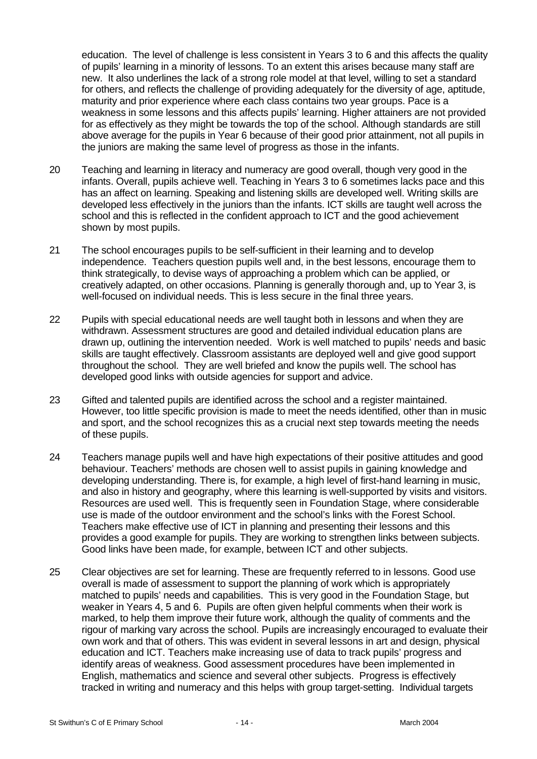education. The level of challenge is less consistent in Years 3 to 6 and this affects the quality of pupils' learning in a minority of lessons. To an extent this arises because many staff are new. It also underlines the lack of a strong role model at that level, willing to set a standard for others, and reflects the challenge of providing adequately for the diversity of age, aptitude, maturity and prior experience where each class contains two year groups. Pace is a weakness in some lessons and this affects pupils' learning. Higher attainers are not provided for as effectively as they might be towards the top of the school. Although standards are still above average for the pupils in Year 6 because of their good prior attainment, not all pupils in the juniors are making the same level of progress as those in the infants.

- 20 Teaching and learning in literacy and numeracy are good overall, though very good in the infants. Overall, pupils achieve well. Teaching in Years 3 to 6 sometimes lacks pace and this has an affect on learning. Speaking and listening skills are developed well. Writing skills are developed less effectively in the juniors than the infants. ICT skills are taught well across the school and this is reflected in the confident approach to ICT and the good achievement shown by most pupils.
- 21 The school encourages pupils to be self-sufficient in their learning and to develop independence. Teachers question pupils well and, in the best lessons, encourage them to think strategically, to devise ways of approaching a problem which can be applied, or creatively adapted, on other occasions. Planning is generally thorough and, up to Year 3, is well-focused on individual needs. This is less secure in the final three years.
- 22 Pupils with special educational needs are well taught both in lessons and when they are withdrawn. Assessment structures are good and detailed individual education plans are drawn up, outlining the intervention needed. Work is well matched to pupils' needs and basic skills are taught effectively. Classroom assistants are deployed well and give good support throughout the school. They are well briefed and know the pupils well. The school has developed good links with outside agencies for support and advice.
- 23 Gifted and talented pupils are identified across the school and a register maintained. However, too little specific provision is made to meet the needs identified, other than in music and sport, and the school recognizes this as a crucial next step towards meeting the needs of these pupils.
- 24 Teachers manage pupils well and have high expectations of their positive attitudes and good behaviour. Teachers' methods are chosen well to assist pupils in gaining knowledge and developing understanding. There is, for example, a high level of first-hand learning in music, and also in history and geography, where this learning is well-supported by visits and visitors. Resources are used well. This is frequently seen in Foundation Stage, where considerable use is made of the outdoor environment and the school's links with the Forest School. Teachers make effective use of ICT in planning and presenting their lessons and this provides a good example for pupils. They are working to strengthen links between subjects. Good links have been made, for example, between ICT and other subjects.
- 25 Clear objectives are set for learning. These are frequently referred to in lessons. Good use overall is made of assessment to support the planning of work which is appropriately matched to pupils' needs and capabilities. This is very good in the Foundation Stage, but weaker in Years 4, 5 and 6. Pupils are often given helpful comments when their work is marked, to help them improve their future work, although the quality of comments and the rigour of marking vary across the school. Pupils are increasingly encouraged to evaluate their own work and that of others. This was evident in several lessons in art and design, physical education and ICT. Teachers make increasing use of data to track pupils' progress and identify areas of weakness. Good assessment procedures have been implemented in English, mathematics and science and several other subjects. Progress is effectively tracked in writing and numeracy and this helps with group target-setting. Individual targets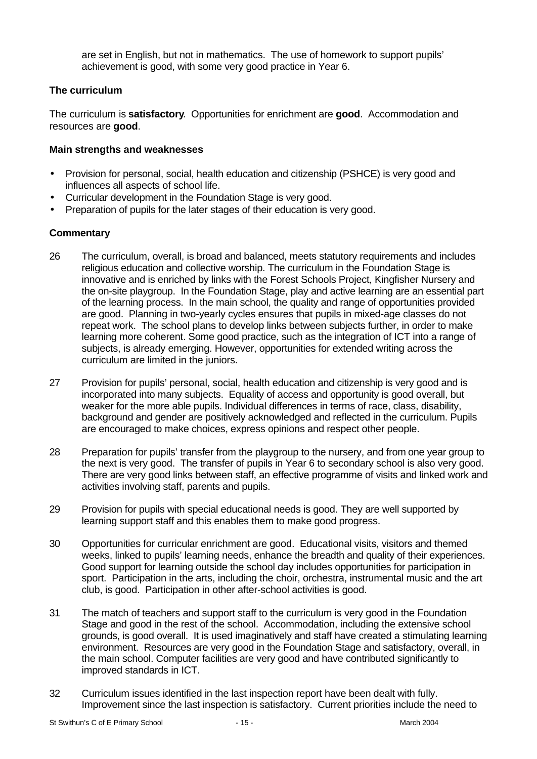are set in English, but not in mathematics. The use of homework to support pupils' achievement is good, with some very good practice in Year 6.

# **The curriculum**

The curriculum is **satisfactory**. Opportunities for enrichment are **good**. Accommodation and resources are **good**.

#### **Main strengths and weaknesses**

- Provision for personal, social, health education and citizenship (PSHCE) is very good and influences all aspects of school life.
- Curricular development in the Foundation Stage is very good.
- Preparation of pupils for the later stages of their education is very good.

- 26 The curriculum, overall, is broad and balanced, meets statutory requirements and includes religious education and collective worship. The curriculum in the Foundation Stage is innovative and is enriched by links with the Forest Schools Project, Kingfisher Nursery and the on-site playgroup. In the Foundation Stage, play and active learning are an essential part of the learning process. In the main school, the quality and range of opportunities provided are good. Planning in two-yearly cycles ensures that pupils in mixed-age classes do not repeat work. The school plans to develop links between subjects further, in order to make learning more coherent. Some good practice, such as the integration of ICT into a range of subjects, is already emerging. However, opportunities for extended writing across the curriculum are limited in the juniors.
- 27 Provision for pupils' personal, social, health education and citizenship is very good and is incorporated into many subjects. Equality of access and opportunity is good overall, but weaker for the more able pupils. Individual differences in terms of race, class, disability, background and gender are positively acknowledged and reflected in the curriculum. Pupils are encouraged to make choices, express opinions and respect other people.
- 28 Preparation for pupils' transfer from the playgroup to the nursery, and from one year group to the next is very good. The transfer of pupils in Year 6 to secondary school is also very good. There are very good links between staff, an effective programme of visits and linked work and activities involving staff, parents and pupils.
- 29 Provision for pupils with special educational needs is good. They are well supported by learning support staff and this enables them to make good progress.
- 30 Opportunities for curricular enrichment are good. Educational visits, visitors and themed weeks, linked to pupils' learning needs, enhance the breadth and quality of their experiences. Good support for learning outside the school day includes opportunities for participation in sport. Participation in the arts, including the choir, orchestra, instrumental music and the art club, is good. Participation in other after-school activities is good.
- 31 The match of teachers and support staff to the curriculum is very good in the Foundation Stage and good in the rest of the school. Accommodation, including the extensive school grounds, is good overall. It is used imaginatively and staff have created a stimulating learning environment. Resources are very good in the Foundation Stage and satisfactory, overall, in the main school. Computer facilities are very good and have contributed significantly to improved standards in ICT.
- 32 Curriculum issues identified in the last inspection report have been dealt with fully. Improvement since the last inspection is satisfactory. Current priorities include the need to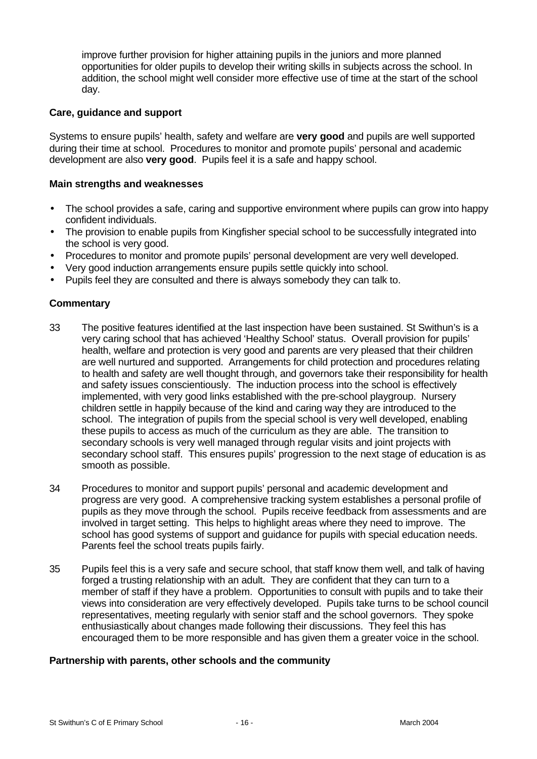improve further provision for higher attaining pupils in the juniors and more planned opportunities for older pupils to develop their writing skills in subjects across the school. In addition, the school might well consider more effective use of time at the start of the school day.

#### **Care, guidance and support**

Systems to ensure pupils' health, safety and welfare are **very good** and pupils are well supported during their time at school. Procedures to monitor and promote pupils' personal and academic development are also **very good**. Pupils feel it is a safe and happy school.

### **Main strengths and weaknesses**

- The school provides a safe, caring and supportive environment where pupils can grow into happy confident individuals.
- The provision to enable pupils from Kingfisher special school to be successfully integrated into the school is very good.
- Procedures to monitor and promote pupils' personal development are very well developed.
- Very good induction arrangements ensure pupils settle quickly into school.
- Pupils feel they are consulted and there is always somebody they can talk to.

# **Commentary**

- 33 The positive features identified at the last inspection have been sustained. St Swithun's is a very caring school that has achieved 'Healthy School' status. Overall provision for pupils' health, welfare and protection is very good and parents are very pleased that their children are well nurtured and supported. Arrangements for child protection and procedures relating to health and safety are well thought through, and governors take their responsibility for health and safety issues conscientiously. The induction process into the school is effectively implemented, with very good links established with the pre-school playgroup. Nursery children settle in happily because of the kind and caring way they are introduced to the school. The integration of pupils from the special school is very well developed, enabling these pupils to access as much of the curriculum as they are able. The transition to secondary schools is very well managed through regular visits and joint projects with secondary school staff. This ensures pupils' progression to the next stage of education is as smooth as possible.
- 34 Procedures to monitor and support pupils' personal and academic development and progress are very good. A comprehensive tracking system establishes a personal profile of pupils as they move through the school. Pupils receive feedback from assessments and are involved in target setting. This helps to highlight areas where they need to improve. The school has good systems of support and guidance for pupils with special education needs. Parents feel the school treats pupils fairly.
- 35 Pupils feel this is a very safe and secure school, that staff know them well, and talk of having forged a trusting relationship with an adult. They are confident that they can turn to a member of staff if they have a problem. Opportunities to consult with pupils and to take their views into consideration are very effectively developed. Pupils take turns to be school council representatives, meeting regularly with senior staff and the school governors. They spoke enthusiastically about changes made following their discussions. They feel this has encouraged them to be more responsible and has given them a greater voice in the school.

#### **Partnership with parents, other schools and the community**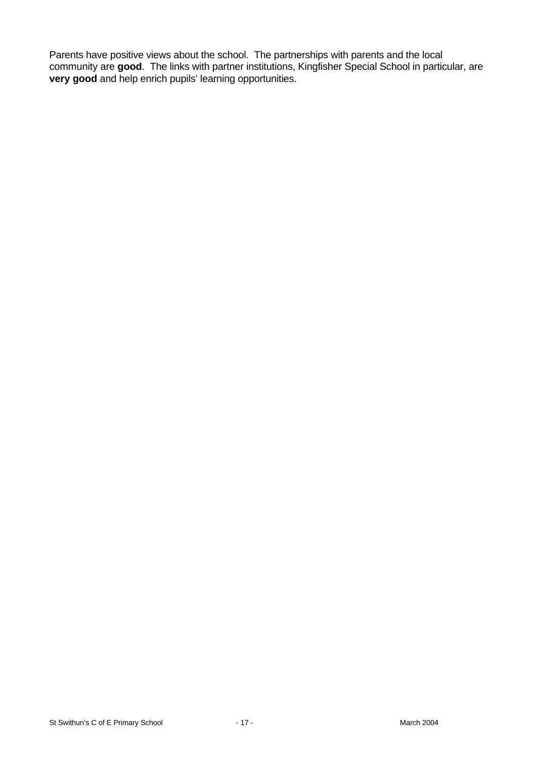Parents have positive views about the school. The partnerships with parents and the local community are **good**. The links with partner institutions, Kingfisher Special School in particular, are **very good** and help enrich pupils' learning opportunities.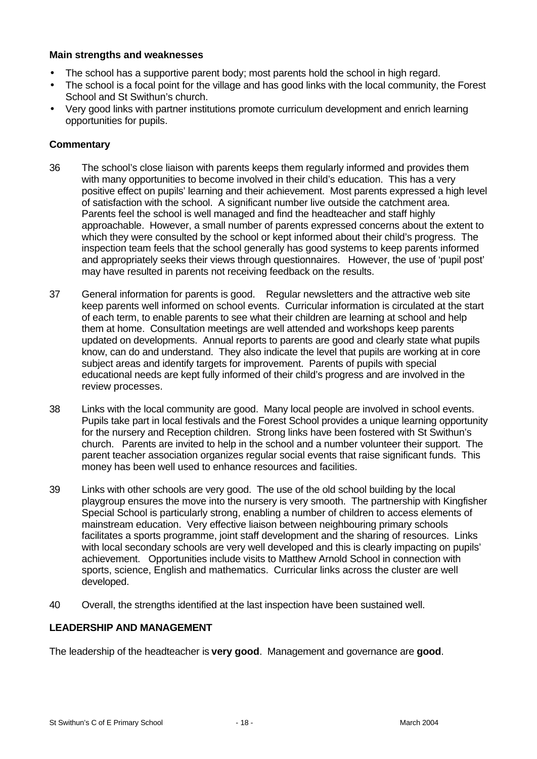#### **Main strengths and weaknesses**

- The school has a supportive parent body; most parents hold the school in high regard.
- The school is a focal point for the village and has good links with the local community, the Forest School and St Swithun's church.
- Very good links with partner institutions promote curriculum development and enrich learning opportunities for pupils.

#### **Commentary**

- 36 The school's close liaison with parents keeps them regularly informed and provides them with many opportunities to become involved in their child's education. This has a very positive effect on pupils' learning and their achievement. Most parents expressed a high level of satisfaction with the school. A significant number live outside the catchment area. Parents feel the school is well managed and find the headteacher and staff highly approachable. However, a small number of parents expressed concerns about the extent to which they were consulted by the school or kept informed about their child's progress. The inspection team feels that the school generally has good systems to keep parents informed and appropriately seeks their views through questionnaires. However, the use of 'pupil post' may have resulted in parents not receiving feedback on the results.
- 37 General information for parents is good. Regular newsletters and the attractive web site keep parents well informed on school events. Curricular information is circulated at the start of each term, to enable parents to see what their children are learning at school and help them at home. Consultation meetings are well attended and workshops keep parents updated on developments. Annual reports to parents are good and clearly state what pupils know, can do and understand. They also indicate the level that pupils are working at in core subject areas and identify targets for improvement. Parents of pupils with special educational needs are kept fully informed of their child's progress and are involved in the review processes.
- 38 Links with the local community are good. Many local people are involved in school events. Pupils take part in local festivals and the Forest School provides a unique learning opportunity for the nursery and Reception children. Strong links have been fostered with St Swithun's church. Parents are invited to help in the school and a number volunteer their support. The parent teacher association organizes regular social events that raise significant funds. This money has been well used to enhance resources and facilities.
- 39 Links with other schools are very good. The use of the old school building by the local playgroup ensures the move into the nursery is very smooth. The partnership with Kingfisher Special School is particularly strong, enabling a number of children to access elements of mainstream education. Very effective liaison between neighbouring primary schools facilitates a sports programme, joint staff development and the sharing of resources. Links with local secondary schools are very well developed and this is clearly impacting on pupils' achievement. Opportunities include visits to Matthew Arnold School in connection with sports, science, English and mathematics. Curricular links across the cluster are well developed.
- 40 Overall, the strengths identified at the last inspection have been sustained well.

### **LEADERSHIP AND MANAGEMENT**

The leadership of the headteacher is **very good**. Management and governance are **good**.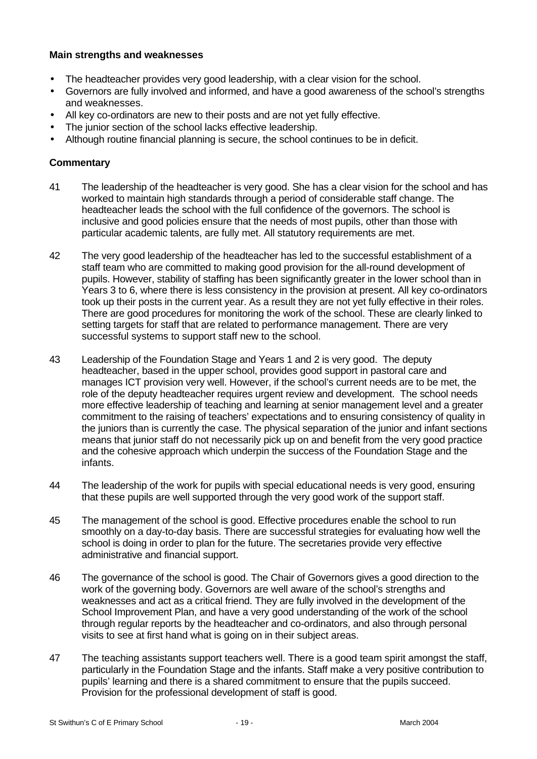#### **Main strengths and weaknesses**

- The headteacher provides very good leadership, with a clear vision for the school.
- Governors are fully involved and informed, and have a good awareness of the school's strengths and weaknesses.
- All key co-ordinators are new to their posts and are not yet fully effective.
- The junior section of the school lacks effective leadership.
- Although routine financial planning is secure, the school continues to be in deficit.

- 41 The leadership of the headteacher is very good. She has a clear vision for the school and has worked to maintain high standards through a period of considerable staff change. The headteacher leads the school with the full confidence of the governors. The school is inclusive and good policies ensure that the needs of most pupils, other than those with particular academic talents, are fully met. All statutory requirements are met.
- 42 The very good leadership of the headteacher has led to the successful establishment of a staff team who are committed to making good provision for the all-round development of pupils. However, stability of staffing has been significantly greater in the lower school than in Years 3 to 6, where there is less consistency in the provision at present. All key co-ordinators took up their posts in the current year. As a result they are not yet fully effective in their roles. There are good procedures for monitoring the work of the school. These are clearly linked to setting targets for staff that are related to performance management. There are very successful systems to support staff new to the school.
- 43 Leadership of the Foundation Stage and Years 1 and 2 is very good. The deputy headteacher, based in the upper school, provides good support in pastoral care and manages ICT provision very well. However, if the school's current needs are to be met, the role of the deputy headteacher requires urgent review and development. The school needs more effective leadership of teaching and learning at senior management level and a greater commitment to the raising of teachers' expectations and to ensuring consistency of quality in the juniors than is currently the case. The physical separation of the junior and infant sections means that junior staff do not necessarily pick up on and benefit from the very good practice and the cohesive approach which underpin the success of the Foundation Stage and the infants.
- 44 The leadership of the work for pupils with special educational needs is very good, ensuring that these pupils are well supported through the very good work of the support staff.
- 45 The management of the school is good. Effective procedures enable the school to run smoothly on a day-to-day basis. There are successful strategies for evaluating how well the school is doing in order to plan for the future. The secretaries provide very effective administrative and financial support.
- 46 The governance of the school is good. The Chair of Governors gives a good direction to the work of the governing body. Governors are well aware of the school's strengths and weaknesses and act as a critical friend. They are fully involved in the development of the School Improvement Plan, and have a very good understanding of the work of the school through regular reports by the headteacher and co-ordinators, and also through personal visits to see at first hand what is going on in their subject areas.
- 47 The teaching assistants support teachers well. There is a good team spirit amongst the staff, particularly in the Foundation Stage and the infants. Staff make a very positive contribution to pupils' learning and there is a shared commitment to ensure that the pupils succeed. Provision for the professional development of staff is good.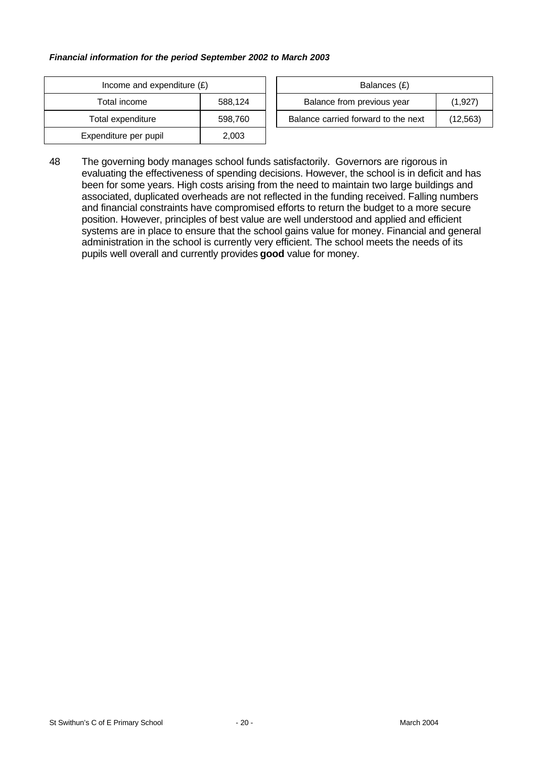#### *Financial information for the period September 2002 to March 2003*

| Income and expenditure $(E)$ |         | Balances (£)                   |  |
|------------------------------|---------|--------------------------------|--|
| Total income                 | 588,124 | Balance from previous year     |  |
| Total expenditure            | 598,760 | Balance carried forward to the |  |
| Expenditure per pupil        | 2,003   |                                |  |

| Income and expenditure $(E)$ |         |  | Balances (£)                        |           |
|------------------------------|---------|--|-------------------------------------|-----------|
| Total income                 | 588.124 |  | Balance from previous year          | (1,927)   |
| Total expenditure            | 598.760 |  | Balance carried forward to the next | (12, 563) |

48 The governing body manages school funds satisfactorily. Governors are rigorous in evaluating the effectiveness of spending decisions. However, the school is in deficit and has been for some years. High costs arising from the need to maintain two large buildings and associated, duplicated overheads are not reflected in the funding received. Falling numbers and financial constraints have compromised efforts to return the budget to a more secure position. However, principles of best value are well understood and applied and efficient systems are in place to ensure that the school gains value for money. Financial and general administration in the school is currently very efficient. The school meets the needs of its pupils well overall and currently provides **good** value for money.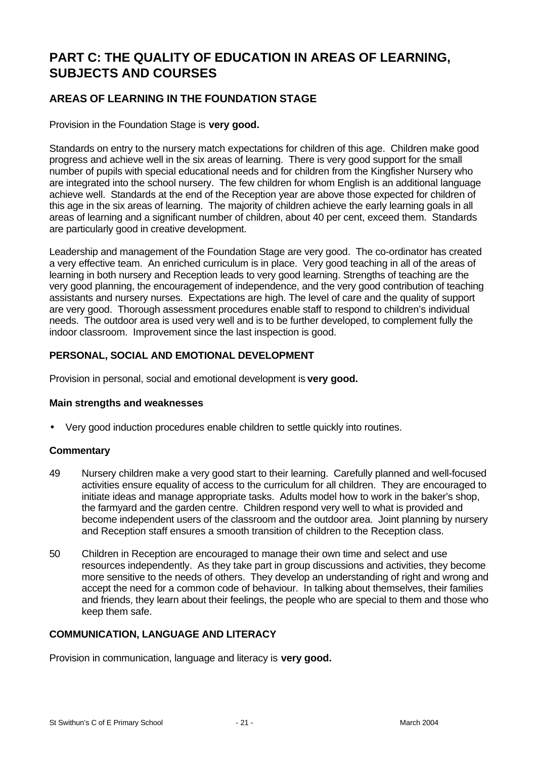# **PART C: THE QUALITY OF EDUCATION IN AREAS OF LEARNING, SUBJECTS AND COURSES**

# **AREAS OF LEARNING IN THE FOUNDATION STAGE**

Provision in the Foundation Stage is **very good.**

Standards on entry to the nursery match expectations for children of this age. Children make good progress and achieve well in the six areas of learning. There is very good support for the small number of pupils with special educational needs and for children from the Kingfisher Nursery who are integrated into the school nursery. The few children for whom English is an additional language achieve well. Standards at the end of the Reception year are above those expected for children of this age in the six areas of learning. The majority of children achieve the early learning goals in all areas of learning and a significant number of children, about 40 per cent, exceed them. Standards are particularly good in creative development.

Leadership and management of the Foundation Stage are very good. The co-ordinator has created a very effective team. An enriched curriculum is in place. Very good teaching in all of the areas of learning in both nursery and Reception leads to very good learning. Strengths of teaching are the very good planning, the encouragement of independence, and the very good contribution of teaching assistants and nursery nurses. Expectations are high. The level of care and the quality of support are very good. Thorough assessment procedures enable staff to respond to children's individual needs. The outdoor area is used very well and is to be further developed, to complement fully the indoor classroom. Improvement since the last inspection is good.

# **PERSONAL, SOCIAL AND EMOTIONAL DEVELOPMENT**

Provision in personal, social and emotional development is **very good.**

#### **Main strengths and weaknesses**

• Very good induction procedures enable children to settle quickly into routines.

#### **Commentary**

- 49 Nursery children make a very good start to their learning. Carefully planned and well-focused activities ensure equality of access to the curriculum for all children. They are encouraged to initiate ideas and manage appropriate tasks. Adults model how to work in the baker's shop, the farmyard and the garden centre. Children respond very well to what is provided and become independent users of the classroom and the outdoor area. Joint planning by nursery and Reception staff ensures a smooth transition of children to the Reception class.
- 50 Children in Reception are encouraged to manage their own time and select and use resources independently. As they take part in group discussions and activities, they become more sensitive to the needs of others. They develop an understanding of right and wrong and accept the need for a common code of behaviour. In talking about themselves, their families and friends, they learn about their feelings, the people who are special to them and those who keep them safe.

#### **COMMUNICATION, LANGUAGE AND LITERACY**

Provision in communication, language and literacy is **very good.**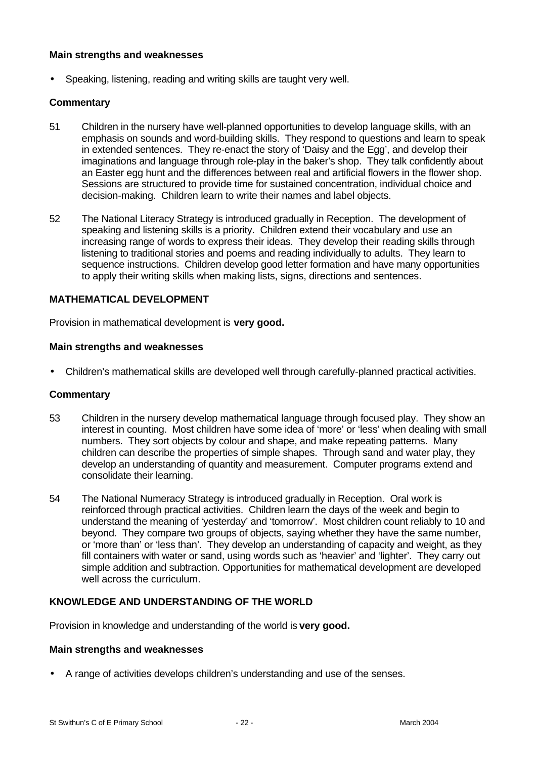#### **Main strengths and weaknesses**

• Speaking, listening, reading and writing skills are taught very well.

#### **Commentary**

- 51 Children in the nursery have well-planned opportunities to develop language skills, with an emphasis on sounds and word-building skills. They respond to questions and learn to speak in extended sentences. They re-enact the story of 'Daisy and the Egg', and develop their imaginations and language through role-play in the baker's shop. They talk confidently about an Easter egg hunt and the differences between real and artificial flowers in the flower shop. Sessions are structured to provide time for sustained concentration, individual choice and decision-making. Children learn to write their names and label objects.
- 52 The National Literacy Strategy is introduced gradually in Reception. The development of speaking and listening skills is a priority. Children extend their vocabulary and use an increasing range of words to express their ideas. They develop their reading skills through listening to traditional stories and poems and reading individually to adults. They learn to sequence instructions. Children develop good letter formation and have many opportunities to apply their writing skills when making lists, signs, directions and sentences.

#### **MATHEMATICAL DEVELOPMENT**

Provision in mathematical development is **very good.**

#### **Main strengths and weaknesses**

• Children's mathematical skills are developed well through carefully-planned practical activities.

#### **Commentary**

- 53 Children in the nursery develop mathematical language through focused play. They show an interest in counting. Most children have some idea of 'more' or 'less' when dealing with small numbers. They sort objects by colour and shape, and make repeating patterns. Many children can describe the properties of simple shapes. Through sand and water play, they develop an understanding of quantity and measurement. Computer programs extend and consolidate their learning.
- 54 The National Numeracy Strategy is introduced gradually in Reception. Oral work is reinforced through practical activities. Children learn the days of the week and begin to understand the meaning of 'yesterday' and 'tomorrow'. Most children count reliably to 10 and beyond. They compare two groups of objects, saying whether they have the same number, or 'more than' or 'less than'. They develop an understanding of capacity and weight, as they fill containers with water or sand, using words such as 'heavier' and 'lighter'. They carry out simple addition and subtraction. Opportunities for mathematical development are developed well across the curriculum.

## **KNOWLEDGE AND UNDERSTANDING OF THE WORLD**

Provision in knowledge and understanding of the world is **very good.**

#### **Main strengths and weaknesses**

• A range of activities develops children's understanding and use of the senses.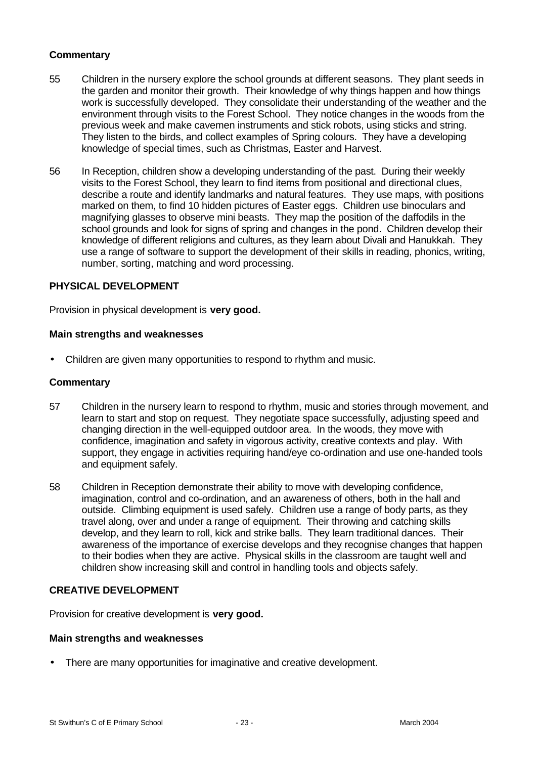# **Commentary**

- 55 Children in the nursery explore the school grounds at different seasons. They plant seeds in the garden and monitor their growth. Their knowledge of why things happen and how things work is successfully developed. They consolidate their understanding of the weather and the environment through visits to the Forest School. They notice changes in the woods from the previous week and make cavemen instruments and stick robots, using sticks and string. They listen to the birds, and collect examples of Spring colours. They have a developing knowledge of special times, such as Christmas, Easter and Harvest.
- 56 In Reception, children show a developing understanding of the past. During their weekly visits to the Forest School, they learn to find items from positional and directional clues, describe a route and identify landmarks and natural features. They use maps, with positions marked on them, to find 10 hidden pictures of Easter eggs. Children use binoculars and magnifying glasses to observe mini beasts. They map the position of the daffodils in the school grounds and look for signs of spring and changes in the pond. Children develop their knowledge of different religions and cultures, as they learn about Divali and Hanukkah. They use a range of software to support the development of their skills in reading, phonics, writing, number, sorting, matching and word processing.

#### **PHYSICAL DEVELOPMENT**

Provision in physical development is **very good.**

#### **Main strengths and weaknesses**

• Children are given many opportunities to respond to rhythm and music.

#### **Commentary**

- 57 Children in the nursery learn to respond to rhythm, music and stories through movement, and learn to start and stop on request. They negotiate space successfully, adjusting speed and changing direction in the well-equipped outdoor area. In the woods, they move with confidence, imagination and safety in vigorous activity, creative contexts and play. With support, they engage in activities requiring hand/eye co-ordination and use one-handed tools and equipment safely.
- 58 Children in Reception demonstrate their ability to move with developing confidence, imagination, control and co-ordination, and an awareness of others, both in the hall and outside. Climbing equipment is used safely. Children use a range of body parts, as they travel along, over and under a range of equipment. Their throwing and catching skills develop, and they learn to roll, kick and strike balls. They learn traditional dances. Their awareness of the importance of exercise develops and they recognise changes that happen to their bodies when they are active. Physical skills in the classroom are taught well and children show increasing skill and control in handling tools and objects safely.

#### **CREATIVE DEVELOPMENT**

Provision for creative development is **very good.**

#### **Main strengths and weaknesses**

• There are many opportunities for imaginative and creative development.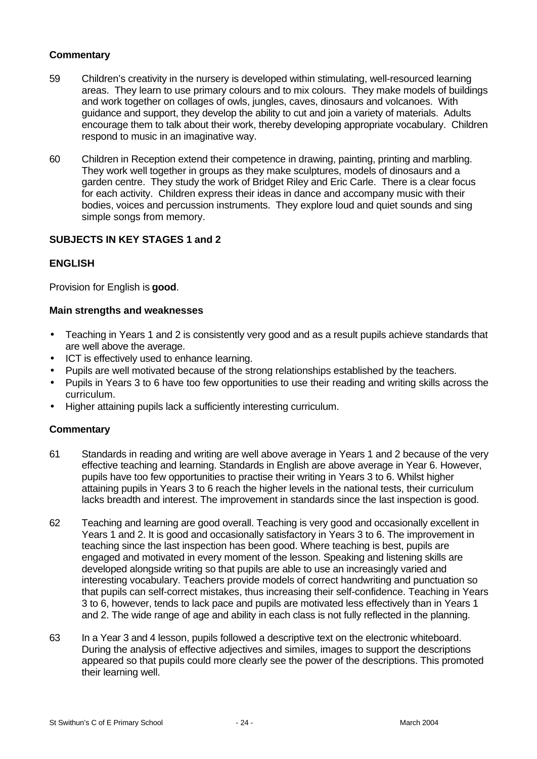# **Commentary**

- 59 Children's creativity in the nursery is developed within stimulating, well-resourced learning areas. They learn to use primary colours and to mix colours. They make models of buildings and work together on collages of owls, jungles, caves, dinosaurs and volcanoes. With guidance and support, they develop the ability to cut and join a variety of materials. Adults encourage them to talk about their work, thereby developing appropriate vocabulary. Children respond to music in an imaginative way.
- 60 Children in Reception extend their competence in drawing, painting, printing and marbling. They work well together in groups as they make sculptures, models of dinosaurs and a garden centre. They study the work of Bridget Riley and Eric Carle. There is a clear focus for each activity. Children express their ideas in dance and accompany music with their bodies, voices and percussion instruments. They explore loud and quiet sounds and sing simple songs from memory.

# **SUBJECTS IN KEY STAGES 1 and 2**

# **ENGLISH**

Provision for English is **good**.

#### **Main strengths and weaknesses**

- Teaching in Years 1 and 2 is consistently very good and as a result pupils achieve standards that are well above the average.
- ICT is effectively used to enhance learning.
- Pupils are well motivated because of the strong relationships established by the teachers.
- Pupils in Years 3 to 6 have too few opportunities to use their reading and writing skills across the curriculum.
- Higher attaining pupils lack a sufficiently interesting curriculum.

- 61 Standards in reading and writing are well above average in Years 1 and 2 because of the very effective teaching and learning. Standards in English are above average in Year 6. However, pupils have too few opportunities to practise their writing in Years 3 to 6. Whilst higher attaining pupils in Years 3 to 6 reach the higher levels in the national tests, their curriculum lacks breadth and interest. The improvement in standards since the last inspection is good.
- 62 Teaching and learning are good overall. Teaching is very good and occasionally excellent in Years 1 and 2. It is good and occasionally satisfactory in Years 3 to 6. The improvement in teaching since the last inspection has been good. Where teaching is best, pupils are engaged and motivated in every moment of the lesson. Speaking and listening skills are developed alongside writing so that pupils are able to use an increasingly varied and interesting vocabulary. Teachers provide models of correct handwriting and punctuation so that pupils can self-correct mistakes, thus increasing their self-confidence. Teaching in Years 3 to 6, however, tends to lack pace and pupils are motivated less effectively than in Years 1 and 2. The wide range of age and ability in each class is not fully reflected in the planning.
- 63 In a Year 3 and 4 lesson, pupils followed a descriptive text on the electronic whiteboard. During the analysis of effective adjectives and similes, images to support the descriptions appeared so that pupils could more clearly see the power of the descriptions. This promoted their learning well.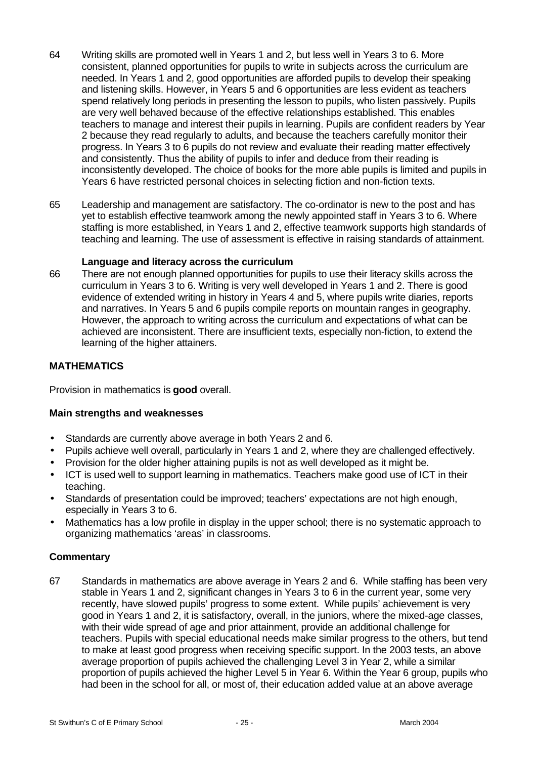- 64 Writing skills are promoted well in Years 1 and 2, but less well in Years 3 to 6. More consistent, planned opportunities for pupils to write in subjects across the curriculum are needed. In Years 1 and 2, good opportunities are afforded pupils to develop their speaking and listening skills. However, in Years 5 and 6 opportunities are less evident as teachers spend relatively long periods in presenting the lesson to pupils, who listen passively. Pupils are very well behaved because of the effective relationships established. This enables teachers to manage and interest their pupils in learning. Pupils are confident readers by Year 2 because they read regularly to adults, and because the teachers carefully monitor their progress. In Years 3 to 6 pupils do not review and evaluate their reading matter effectively and consistently. Thus the ability of pupils to infer and deduce from their reading is inconsistently developed. The choice of books for the more able pupils is limited and pupils in Years 6 have restricted personal choices in selecting fiction and non-fiction texts.
- 65 Leadership and management are satisfactory. The co-ordinator is new to the post and has yet to establish effective teamwork among the newly appointed staff in Years 3 to 6. Where staffing is more established, in Years 1 and 2, effective teamwork supports high standards of teaching and learning. The use of assessment is effective in raising standards of attainment.

#### **Language and literacy across the curriculum**

66 There are not enough planned opportunities for pupils to use their literacy skills across the curriculum in Years 3 to 6. Writing is very well developed in Years 1 and 2. There is good evidence of extended writing in history in Years 4 and 5, where pupils write diaries, reports and narratives. In Years 5 and 6 pupils compile reports on mountain ranges in geography. However, the approach to writing across the curriculum and expectations of what can be achieved are inconsistent. There are insufficient texts, especially non-fiction, to extend the learning of the higher attainers.

#### **MATHEMATICS**

Provision in mathematics is **good** overall.

#### **Main strengths and weaknesses**

- Standards are currently above average in both Years 2 and 6.
- Pupils achieve well overall, particularly in Years 1 and 2, where they are challenged effectively.
- Provision for the older higher attaining pupils is not as well developed as it might be.
- ICT is used well to support learning in mathematics. Teachers make good use of ICT in their teaching.
- Standards of presentation could be improved; teachers' expectations are not high enough, especially in Years 3 to 6.
- Mathematics has a low profile in display in the upper school; there is no systematic approach to organizing mathematics 'areas' in classrooms.

#### **Commentary**

67 Standards in mathematics are above average in Years 2 and 6. While staffing has been very stable in Years 1 and 2, significant changes in Years 3 to 6 in the current year, some very recently, have slowed pupils' progress to some extent. While pupils' achievement is very good in Years 1 and 2, it is satisfactory, overall, in the juniors, where the mixed-age classes, with their wide spread of age and prior attainment, provide an additional challenge for teachers. Pupils with special educational needs make similar progress to the others, but tend to make at least good progress when receiving specific support. In the 2003 tests, an above average proportion of pupils achieved the challenging Level 3 in Year 2, while a similar proportion of pupils achieved the higher Level 5 in Year 6. Within the Year 6 group, pupils who had been in the school for all, or most of, their education added value at an above average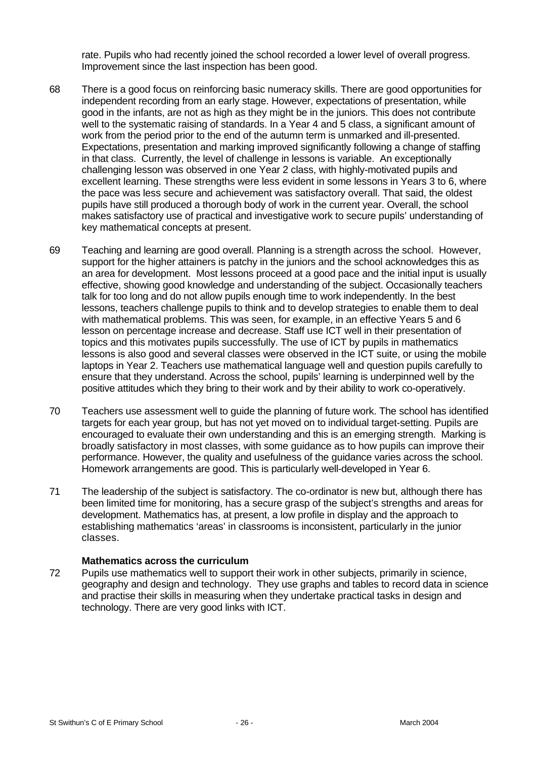rate. Pupils who had recently joined the school recorded a lower level of overall progress. Improvement since the last inspection has been good.

- 68 There is a good focus on reinforcing basic numeracy skills. There are good opportunities for independent recording from an early stage. However, expectations of presentation, while good in the infants, are not as high as they might be in the juniors. This does not contribute well to the systematic raising of standards. In a Year 4 and 5 class, a significant amount of work from the period prior to the end of the autumn term is unmarked and ill-presented. Expectations, presentation and marking improved significantly following a change of staffing in that class. Currently, the level of challenge in lessons is variable. An exceptionally challenging lesson was observed in one Year 2 class, with highly-motivated pupils and excellent learning. These strengths were less evident in some lessons in Years 3 to 6, where the pace was less secure and achievement was satisfactory overall. That said, the oldest pupils have still produced a thorough body of work in the current year. Overall, the school makes satisfactory use of practical and investigative work to secure pupils' understanding of key mathematical concepts at present.
- 69 Teaching and learning are good overall. Planning is a strength across the school. However, support for the higher attainers is patchy in the juniors and the school acknowledges this as an area for development. Most lessons proceed at a good pace and the initial input is usually effective, showing good knowledge and understanding of the subject. Occasionally teachers talk for too long and do not allow pupils enough time to work independently. In the best lessons, teachers challenge pupils to think and to develop strategies to enable them to deal with mathematical problems. This was seen, for example, in an effective Years 5 and 6 lesson on percentage increase and decrease. Staff use ICT well in their presentation of topics and this motivates pupils successfully. The use of ICT by pupils in mathematics lessons is also good and several classes were observed in the ICT suite, or using the mobile laptops in Year 2. Teachers use mathematical language well and question pupils carefully to ensure that they understand. Across the school, pupils' learning is underpinned well by the positive attitudes which they bring to their work and by their ability to work co-operatively.
- 70 Teachers use assessment well to guide the planning of future work. The school has identified targets for each year group, but has not yet moved on to individual target-setting. Pupils are encouraged to evaluate their own understanding and this is an emerging strength. Marking is broadly satisfactory in most classes, with some guidance as to how pupils can improve their performance. However, the quality and usefulness of the guidance varies across the school. Homework arrangements are good. This is particularly well-developed in Year 6.
- 71 The leadership of the subject is satisfactory. The co-ordinator is new but, although there has been limited time for monitoring, has a secure grasp of the subject's strengths and areas for development. Mathematics has, at present, a low profile in display and the approach to establishing mathematics 'areas' in classrooms is inconsistent, particularly in the junior classes.

#### **Mathematics across the curriculum**

72 Pupils use mathematics well to support their work in other subjects, primarily in science, geography and design and technology. They use graphs and tables to record data in science and practise their skills in measuring when they undertake practical tasks in design and technology. There are very good links with ICT.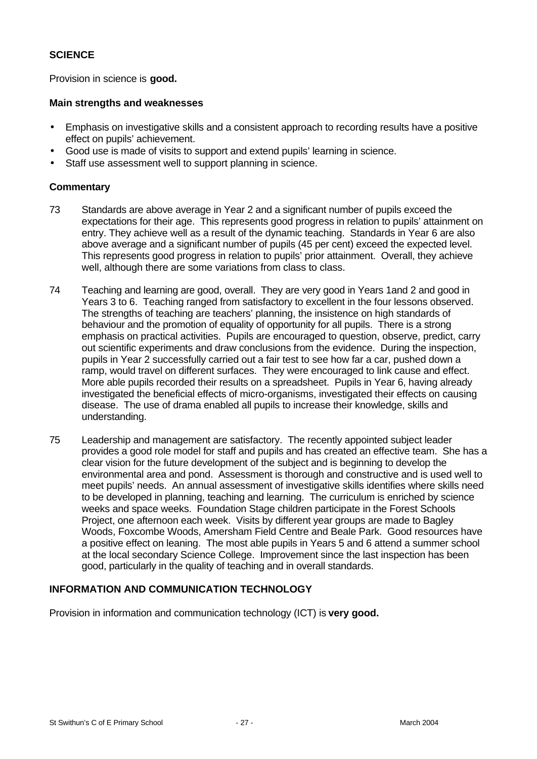# **SCIENCE**

Provision in science is **good.**

#### **Main strengths and weaknesses**

- Emphasis on investigative skills and a consistent approach to recording results have a positive effect on pupils' achievement.
- Good use is made of visits to support and extend pupils' learning in science.
- Staff use assessment well to support planning in science.

# **Commentary**

- 73 Standards are above average in Year 2 and a significant number of pupils exceed the expectations for their age. This represents good progress in relation to pupils' attainment on entry. They achieve well as a result of the dynamic teaching. Standards in Year 6 are also above average and a significant number of pupils (45 per cent) exceed the expected level. This represents good progress in relation to pupils' prior attainment. Overall, they achieve well, although there are some variations from class to class.
- 74 Teaching and learning are good, overall. They are very good in Years 1and 2 and good in Years 3 to 6. Teaching ranged from satisfactory to excellent in the four lessons observed. The strengths of teaching are teachers' planning, the insistence on high standards of behaviour and the promotion of equality of opportunity for all pupils. There is a strong emphasis on practical activities. Pupils are encouraged to question, observe, predict, carry out scientific experiments and draw conclusions from the evidence. During the inspection, pupils in Year 2 successfully carried out a fair test to see how far a car, pushed down a ramp, would travel on different surfaces. They were encouraged to link cause and effect. More able pupils recorded their results on a spreadsheet. Pupils in Year 6, having already investigated the beneficial effects of micro-organisms, investigated their effects on causing disease. The use of drama enabled all pupils to increase their knowledge, skills and understanding.
- 75 Leadership and management are satisfactory. The recently appointed subject leader provides a good role model for staff and pupils and has created an effective team. She has a clear vision for the future development of the subject and is beginning to develop the environmental area and pond. Assessment is thorough and constructive and is used well to meet pupils' needs. An annual assessment of investigative skills identifies where skills need to be developed in planning, teaching and learning. The curriculum is enriched by science weeks and space weeks. Foundation Stage children participate in the Forest Schools Project, one afternoon each week. Visits by different year groups are made to Bagley Woods, Foxcombe Woods, Amersham Field Centre and Beale Park. Good resources have a positive effect on leaning. The most able pupils in Years 5 and 6 attend a summer school at the local secondary Science College. Improvement since the last inspection has been good, particularly in the quality of teaching and in overall standards.

# **INFORMATION AND COMMUNICATION TECHNOLOGY**

Provision in information and communication technology (ICT) is **very good.**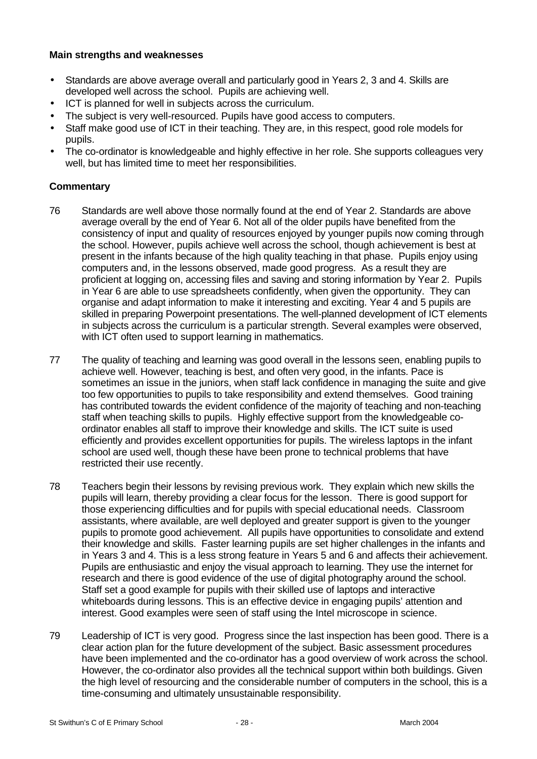#### **Main strengths and weaknesses**

- Standards are above average overall and particularly good in Years 2, 3 and 4. Skills are developed well across the school. Pupils are achieving well.
- ICT is planned for well in subjects across the curriculum.
- The subject is very well-resourced. Pupils have good access to computers.
- Staff make good use of ICT in their teaching. They are, in this respect, good role models for pupils.
- The co-ordinator is knowledgeable and highly effective in her role. She supports colleagues very well, but has limited time to meet her responsibilities.

- 76 Standards are well above those normally found at the end of Year 2. Standards are above average overall by the end of Year 6. Not all of the older pupils have benefited from the consistency of input and quality of resources enjoyed by younger pupils now coming through the school. However, pupils achieve well across the school, though achievement is best at present in the infants because of the high quality teaching in that phase. Pupils enjoy using computers and, in the lessons observed, made good progress. As a result they are proficient at logging on, accessing files and saving and storing information by Year 2. Pupils in Year 6 are able to use spreadsheets confidently, when given the opportunity. They can organise and adapt information to make it interesting and exciting. Year 4 and 5 pupils are skilled in preparing Powerpoint presentations. The well-planned development of ICT elements in subjects across the curriculum is a particular strength. Several examples were observed, with ICT often used to support learning in mathematics.
- 77 The quality of teaching and learning was good overall in the lessons seen, enabling pupils to achieve well. However, teaching is best, and often very good, in the infants. Pace is sometimes an issue in the juniors, when staff lack confidence in managing the suite and give too few opportunities to pupils to take responsibility and extend themselves. Good training has contributed towards the evident confidence of the majority of teaching and non-teaching staff when teaching skills to pupils. Highly effective support from the knowledgeable coordinator enables all staff to improve their knowledge and skills. The ICT suite is used efficiently and provides excellent opportunities for pupils. The wireless laptops in the infant school are used well, though these have been prone to technical problems that have restricted their use recently.
- 78 Teachers begin their lessons by revising previous work. They explain which new skills the pupils will learn, thereby providing a clear focus for the lesson. There is good support for those experiencing difficulties and for pupils with special educational needs. Classroom assistants, where available, are well deployed and greater support is given to the younger pupils to promote good achievement. All pupils have opportunities to consolidate and extend their knowledge and skills. Faster learning pupils are set higher challenges in the infants and in Years 3 and 4. This is a less strong feature in Years 5 and 6 and affects their achievement. Pupils are enthusiastic and enjoy the visual approach to learning. They use the internet for research and there is good evidence of the use of digital photography around the school. Staff set a good example for pupils with their skilled use of laptops and interactive whiteboards during lessons. This is an effective device in engaging pupils' attention and interest. Good examples were seen of staff using the Intel microscope in science.
- 79 Leadership of ICT is very good. Progress since the last inspection has been good. There is a clear action plan for the future development of the subject. Basic assessment procedures have been implemented and the co-ordinator has a good overview of work across the school. However, the co-ordinator also provides all the technical support within both buildings. Given the high level of resourcing and the considerable number of computers in the school, this is a time-consuming and ultimately unsustainable responsibility.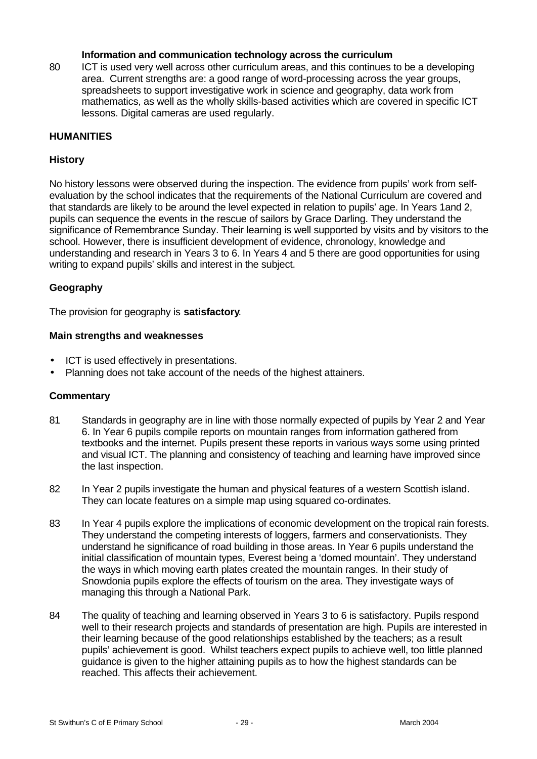#### **Information and communication technology across the curriculum**

80 ICT is used very well across other curriculum areas, and this continues to be a developing area. Current strengths are: a good range of word-processing across the year groups, spreadsheets to support investigative work in science and geography, data work from mathematics, as well as the wholly skills-based activities which are covered in specific ICT lessons. Digital cameras are used regularly.

# **HUMANITIES**

#### **History**

No history lessons were observed during the inspection. The evidence from pupils' work from selfevaluation by the school indicates that the requirements of the National Curriculum are covered and that standards are likely to be around the level expected in relation to pupils' age. In Years 1and 2, pupils can sequence the events in the rescue of sailors by Grace Darling. They understand the significance of Remembrance Sunday. Their learning is well supported by visits and by visitors to the school. However, there is insufficient development of evidence, chronology, knowledge and understanding and research in Years 3 to 6. In Years 4 and 5 there are good opportunities for using writing to expand pupils' skills and interest in the subject.

#### **Geography**

The provision for geography is **satisfactory**.

#### **Main strengths and weaknesses**

- ICT is used effectively in presentations.
- Planning does not take account of the needs of the highest attainers.

- 81 Standards in geography are in line with those normally expected of pupils by Year 2 and Year 6. In Year 6 pupils compile reports on mountain ranges from information gathered from textbooks and the internet. Pupils present these reports in various ways some using printed and visual ICT. The planning and consistency of teaching and learning have improved since the last inspection.
- 82 In Year 2 pupils investigate the human and physical features of a western Scottish island. They can locate features on a simple map using squared co-ordinates.
- 83 In Year 4 pupils explore the implications of economic development on the tropical rain forests. They understand the competing interests of loggers, farmers and conservationists. They understand he significance of road building in those areas. In Year 6 pupils understand the initial classification of mountain types, Everest being a 'domed mountain'. They understand the ways in which moving earth plates created the mountain ranges. In their study of Snowdonia pupils explore the effects of tourism on the area. They investigate ways of managing this through a National Park.
- 84 The quality of teaching and learning observed in Years 3 to 6 is satisfactory. Pupils respond well to their research projects and standards of presentation are high. Pupils are interested in their learning because of the good relationships established by the teachers; as a result pupils' achievement is good. Whilst teachers expect pupils to achieve well, too little planned guidance is given to the higher attaining pupils as to how the highest standards can be reached. This affects their achievement.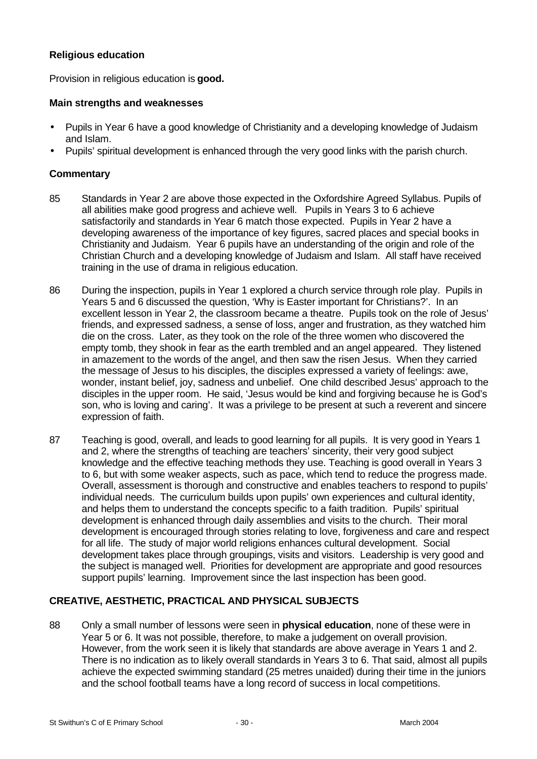### **Religious education**

Provision in religious education is **good.**

## **Main strengths and weaknesses**

- Pupils in Year 6 have a good knowledge of Christianity and a developing knowledge of Judaism and Islam.
- Pupils' spiritual development is enhanced through the very good links with the parish church.

# **Commentary**

- 85 Standards in Year 2 are above those expected in the Oxfordshire Agreed Syllabus. Pupils of all abilities make good progress and achieve well. Pupils in Years 3 to 6 achieve satisfactorily and standards in Year 6 match those expected. Pupils in Year 2 have a developing awareness of the importance of key figures, sacred places and special books in Christianity and Judaism. Year 6 pupils have an understanding of the origin and role of the Christian Church and a developing knowledge of Judaism and Islam. All staff have received training in the use of drama in religious education.
- 86 During the inspection, pupils in Year 1 explored a church service through role play. Pupils in Years 5 and 6 discussed the question, 'Why is Easter important for Christians?'. In an excellent lesson in Year 2, the classroom became a theatre. Pupils took on the role of Jesus' friends, and expressed sadness, a sense of loss, anger and frustration, as they watched him die on the cross. Later, as they took on the role of the three women who discovered the empty tomb, they shook in fear as the earth trembled and an angel appeared. They listened in amazement to the words of the angel, and then saw the risen Jesus. When they carried the message of Jesus to his disciples, the disciples expressed a variety of feelings: awe, wonder, instant belief, joy, sadness and unbelief. One child described Jesus' approach to the disciples in the upper room. He said, 'Jesus would be kind and forgiving because he is God's son, who is loving and caring'. It was a privilege to be present at such a reverent and sincere expression of faith.
- 87 Teaching is good, overall, and leads to good learning for all pupils. It is very good in Years 1 and 2, where the strengths of teaching are teachers' sincerity, their very good subject knowledge and the effective teaching methods they use. Teaching is good overall in Years 3 to 6, but with some weaker aspects, such as pace, which tend to reduce the progress made. Overall, assessment is thorough and constructive and enables teachers to respond to pupils' individual needs. The curriculum builds upon pupils' own experiences and cultural identity, and helps them to understand the concepts specific to a faith tradition. Pupils' spiritual development is enhanced through daily assemblies and visits to the church. Their moral development is encouraged through stories relating to love, forgiveness and care and respect for all life. The study of major world religions enhances cultural development. Social development takes place through groupings, visits and visitors. Leadership is very good and the subject is managed well. Priorities for development are appropriate and good resources support pupils' learning. Improvement since the last inspection has been good.

# **CREATIVE, AESTHETIC, PRACTICAL AND PHYSICAL SUBJECTS**

88 Only a small number of lessons were seen in **physical education**, none of these were in Year 5 or 6. It was not possible, therefore, to make a judgement on overall provision. However, from the work seen it is likely that standards are above average in Years 1 and 2. There is no indication as to likely overall standards in Years 3 to 6. That said, almost all pupils achieve the expected swimming standard (25 metres unaided) during their time in the juniors and the school football teams have a long record of success in local competitions.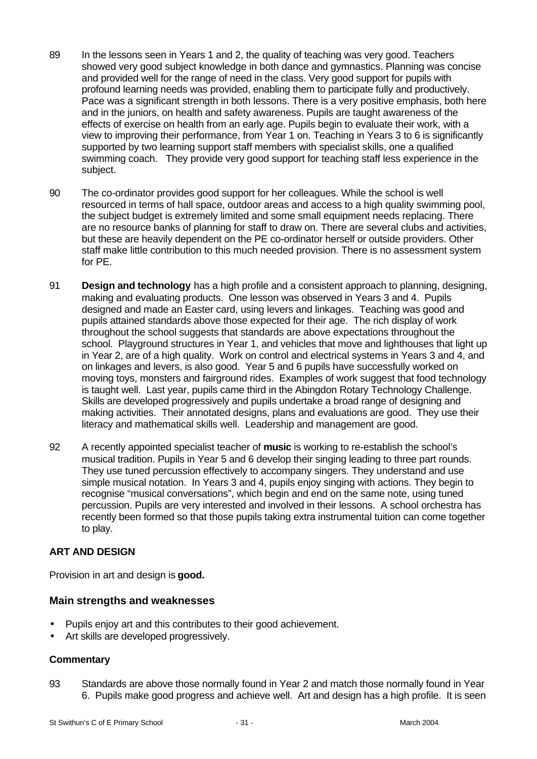- 89 In the lessons seen in Years 1 and 2, the quality of teaching was very good. Teachers showed very good subject knowledge in both dance and gymnastics. Planning was concise and provided well for the range of need in the class. Very good support for pupils with profound learning needs was provided, enabling them to participate fully and productively. Pace was a significant strength in both lessons. There is a very positive emphasis, both here and in the juniors, on health and safety awareness. Pupils are taught awareness of the effects of exercise on health from an early age. Pupils begin to evaluate their work, with a view to improving their performance, from Year 1 on. Teaching in Years 3 to 6 is significantly supported by two learning support staff members with specialist skills, one a qualified swimming coach. They provide very good support for teaching staff less experience in the subject.
- 90 The co-ordinator provides good support for her colleagues. While the school is well resourced in terms of hall space, outdoor areas and access to a high quality swimming pool, the subject budget is extremely limited and some small equipment needs replacing. There are no resource banks of planning for staff to draw on. There are several clubs and activities, but these are heavily dependent on the PE co-ordinator herself or outside providers. Other staff make little contribution to this much needed provision. There is no assessment system for PE.
- 91 **Design and technology** has a high profile and a consistent approach to planning, designing, making and evaluating products. One lesson was observed in Years 3 and 4. Pupils designed and made an Easter card, using levers and linkages. Teaching was good and pupils attained standards above those expected for their age. The rich display of work throughout the school suggests that standards are above expectations throughout the school. Playground structures in Year 1, and vehicles that move and lighthouses that light up in Year 2, are of a high quality. Work on control and electrical systems in Years 3 and 4, and on linkages and levers, is also good. Year 5 and 6 pupils have successfully worked on moving toys, monsters and fairground rides. Examples of work suggest that food technology is taught well. Last year, pupils came third in the Abingdon Rotary Technology Challenge. Skills are developed progressively and pupils undertake a broad range of designing and making activities. Their annotated designs, plans and evaluations are good. They use their literacy and mathematical skills well. Leadership and management are good.
- 92 A recently appointed specialist teacher of **music** is working to re-establish the school's musical tradition. Pupils in Year 5 and 6 develop their singing leading to three part rounds. They use tuned percussion effectively to accompany singers. They understand and use simple musical notation. In Years 3 and 4, pupils enjoy singing with actions. They begin to recognise "musical conversations", which begin and end on the same note, using tuned percussion. Pupils are very interested and involved in their lessons. A school orchestra has recently been formed so that those pupils taking extra instrumental tuition can come together to play.

# **ART AND DESIGN**

Provision in art and design is **good.**

# **Main strengths and weaknesses**

- Pupils enjoy art and this contributes to their good achievement.
- Art skills are developed progressively.

# **Commentary**

93 Standards are above those normally found in Year 2 and match those normally found in Year 6. Pupils make good progress and achieve well. Art and design has a high profile. It is seen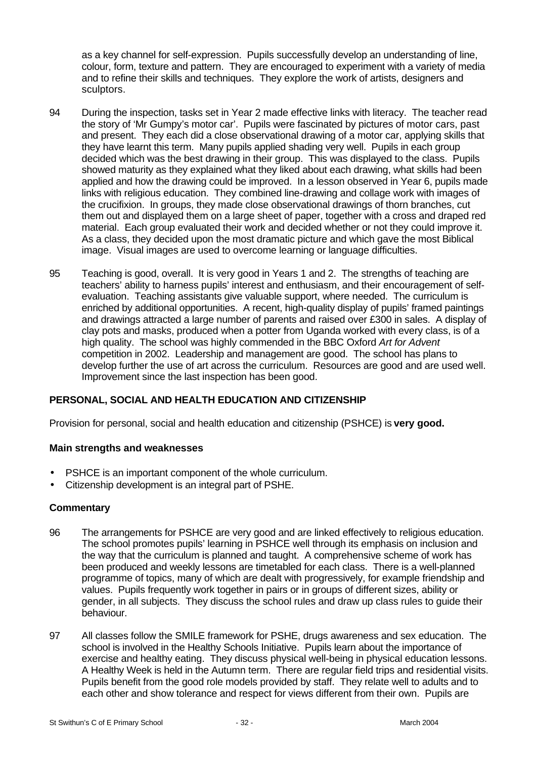as a key channel for self-expression. Pupils successfully develop an understanding of line, colour, form, texture and pattern. They are encouraged to experiment with a variety of media and to refine their skills and techniques. They explore the work of artists, designers and sculptors.

- 94 During the inspection, tasks set in Year 2 made effective links with literacy. The teacher read the story of 'Mr Gumpy's motor car'. Pupils were fascinated by pictures of motor cars, past and present. They each did a close observational drawing of a motor car, applying skills that they have learnt this term. Many pupils applied shading very well. Pupils in each group decided which was the best drawing in their group. This was displayed to the class. Pupils showed maturity as they explained what they liked about each drawing, what skills had been applied and how the drawing could be improved. In a lesson observed in Year 6, pupils made links with religious education. They combined line-drawing and collage work with images of the crucifixion. In groups, they made close observational drawings of thorn branches, cut them out and displayed them on a large sheet of paper, together with a cross and draped red material. Each group evaluated their work and decided whether or not they could improve it. As a class, they decided upon the most dramatic picture and which gave the most Biblical image. Visual images are used to overcome learning or language difficulties.
- 95 Teaching is good, overall. It is very good in Years 1 and 2. The strengths of teaching are teachers' ability to harness pupils' interest and enthusiasm, and their encouragement of selfevaluation. Teaching assistants give valuable support, where needed. The curriculum is enriched by additional opportunities. A recent, high-quality display of pupils' framed paintings and drawings attracted a large number of parents and raised over £300 in sales. A display of clay pots and masks, produced when a potter from Uganda worked with every class, is of a high quality. The school was highly commended in the BBC Oxford *Art for Advent* competition in 2002. Leadership and management are good. The school has plans to develop further the use of art across the curriculum. Resources are good and are used well. Improvement since the last inspection has been good.

# **PERSONAL, SOCIAL AND HEALTH EDUCATION AND CITIZENSHIP**

Provision for personal, social and health education and citizenship (PSHCE) is **very good.**

#### **Main strengths and weaknesses**

- PSHCE is an important component of the whole curriculum.
- Citizenship development is an integral part of PSHE.

- 96 The arrangements for PSHCE are very good and are linked effectively to religious education. The school promotes pupils' learning in PSHCE well through its emphasis on inclusion and the way that the curriculum is planned and taught. A comprehensive scheme of work has been produced and weekly lessons are timetabled for each class. There is a well-planned programme of topics, many of which are dealt with progressively, for example friendship and values. Pupils frequently work together in pairs or in groups of different sizes, ability or gender, in all subjects. They discuss the school rules and draw up class rules to guide their behaviour.
- 97 All classes follow the SMILE framework for PSHE, drugs awareness and sex education. The school is involved in the Healthy Schools Initiative. Pupils learn about the importance of exercise and healthy eating. They discuss physical well-being in physical education lessons. A Healthy Week is held in the Autumn term. There are regular field trips and residential visits. Pupils benefit from the good role models provided by staff. They relate well to adults and to each other and show tolerance and respect for views different from their own. Pupils are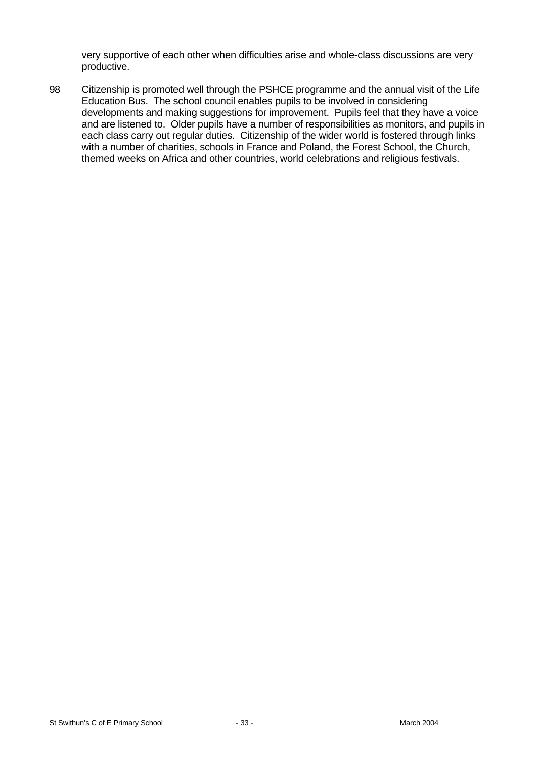very supportive of each other when difficulties arise and whole-class discussions are very productive.

98 Citizenship is promoted well through the PSHCE programme and the annual visit of the Life Education Bus. The school council enables pupils to be involved in considering developments and making suggestions for improvement. Pupils feel that they have a voice and are listened to. Older pupils have a number of responsibilities as monitors, and pupils in each class carry out regular duties. Citizenship of the wider world is fostered through links with a number of charities, schools in France and Poland, the Forest School, the Church, themed weeks on Africa and other countries, world celebrations and religious festivals.